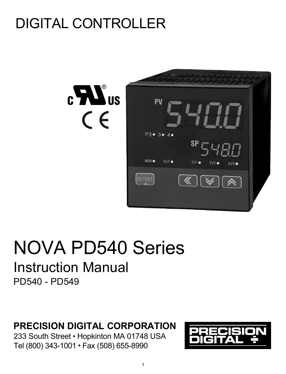# DIGITAL CONTROLLER



# NOVA PD540 Series Instruction Manual PD540 - PD549

# **PRECISION DIGITAL CORPORATION**

233 South Street · Hopkinton MA 01748 USA Tel (800) 343-1001 Fax (508) 655-8990

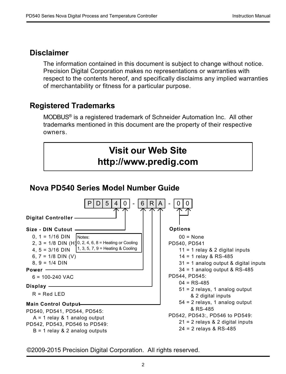# **Disclaimer**

The information contained in this document is subject to change without notice. Precision Digital Corporation makes no representations or warranties with respect to the contents hereof, and specifically disclaims any implied warranties of merchantability or fitness for a particular purpose.

# **Registered Trademarks**

MODBUS® is a registered trademark of Schneider Automation Inc. All other trademarks mentioned in this document are the property of their respective owners.



# **Nova PD540 Series Model Number Guide**



©2009-2015 Precision Digital Corporation. All rights reserved.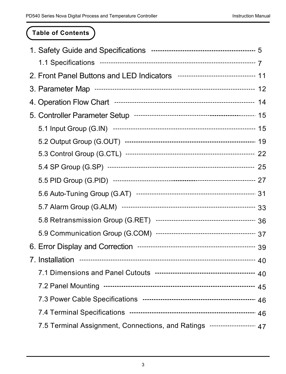# **Table of Contents**

| 7.5 Terminal Assignment, Connections, and Ratings --------------------- 47 |  |
|----------------------------------------------------------------------------|--|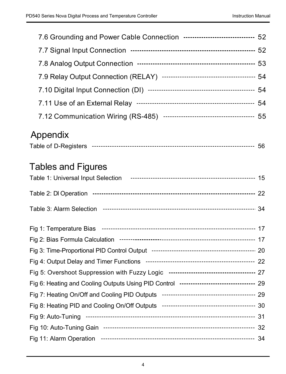| 7.6 Grounding and Power Cable Connection --------------------------------- 52 |  |
|-------------------------------------------------------------------------------|--|
|                                                                               |  |
|                                                                               |  |
|                                                                               |  |
|                                                                               |  |
| 7.11 Use of an External Relay …………………………………………………… 54                         |  |
|                                                                               |  |

# Appendix

| Table of D-Registers |  |  |
|----------------------|--|--|
|----------------------|--|--|

# Tables and Figures

| Fig 6: Heating and Cooling Outputs Using PID Control --------------------------------- 29 |  |
|-------------------------------------------------------------------------------------------|--|
|                                                                                           |  |
|                                                                                           |  |
|                                                                                           |  |
|                                                                                           |  |
|                                                                                           |  |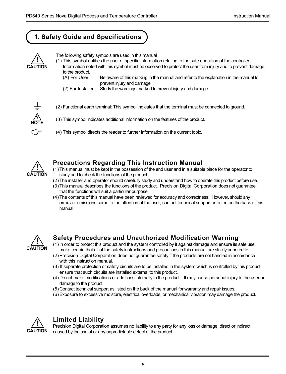# **1. Safety Guide and Specifications**



The following safety symbols are used in this manual

- (1) This symbol notifies the user of specific information relating to the safe operation of the controller.
	- Information noted with this symbol must be observed to protect the user from injury and to prevent damage to the product.
		- (A) For User: Be aware of this marking in the manual and refer to the explanation in the manual to prevent injury and damage.
		- (2) For Installer: Study the warnings marked to prevent injury and damage.



(2) Functional earth terminal: This symbol indicates that the terminal must be connected to ground.

- (3) This symbol indicates additional information on the features of the product.
- (4) This symbol directs the reader to further information on the current topic.



### **Precautions Regarding This Instruction Manual**

- (1)This manual must be kept in the possession of the end user and in a suitable place for the operator to study and to check the functions of the product.
- (2)The installer and operator should carefully study and understand how to operate this product before use.
- (3)This manual describes the functions of the product. Precision Digital Corporation does not guarantee that the functions will suit a particular purpose.
- (4)The contents of this manual have been reviewed for accuracy and correctness. However, should any errors or omissions come to the attention of the user, contact technical support as listed on the back of this manual



# **Safety Procedures and Unauthorized Modification Warning**

- (1)In order to protect this product and the system controlled by it against damage and ensure its safe use, make certain that all of the safety instructions and precautions in this manual are strictly adhered to.
- (2)Precision Digital Corporation does not guarantee safety if the products are not handled in accordance with this instruction manual.
- (3) If separate protection or safety circuits are to be installed in the system which is controlled by this product, ensure that such circuits are installed external to this product.
- (4)Do not make modifications or additions internally to the product. It may cause personal injury to the user or damage to the product.
- (5)Contact technical support as listed on the back of the manual for warranty and repair issues.
- (6)Exposure to excessive moisture, electrical overloads, or mechanical vibration may damage the product.



### **Limited Liability**

Precision Digital Corporation assumes no liability to any party for any loss or damage, direct or indirect, caused by the use of or any unpredictable defect of the product.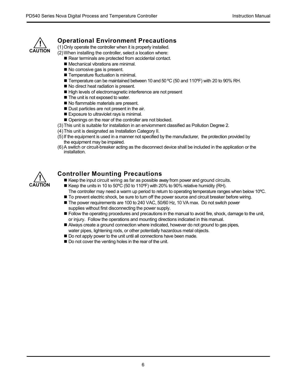

### **Operational Environment Precautions**

(1)Only operate the controller when it is properly installed.

(2)When installing the controller, select a location where:

- Rear terminals are protected from accidental contact.
- Mechanical vibrations are minimal.
- No corrosive gas is present.
- Temperature fluctuation is minimal.
- Temperature can be maintained between 10 and 50 °C (50 and 110°F) with 20 to 90% RH.
- No direct heat radiation is present.
- High levels of electromagnetic interference are not present
- The unit is not exposed to water
- No flammable materials are present.
- Dust particles are not present in the air.
- Exposure to ultraviolet rays is minimal.
- Openings on the rear of the controller are not blocked.
- (3)This unit is suitable for installation in an enviornment classified as Pollution Degree 2.
- (4)This unit is designated as Installation Category II.
- (5)If the equipment is used in a manner not specified by the manufacturer, the protection provided by the equipment may be impaired.
- (6)A switch or circuit-breaker acting as the disconnect device shall be included in the application or the installation.



### **Controller Mounting Precautions**

- Keep the input circuit wiring as far as possible away from power and ground circuits.
- Keep the units in 10 to 50°C (50 to 110°F) with 20% to 90% relative humidity (RH). The controller may need a warm up period to return to operating temperature ranges when below 10ºC.
- To prevent electric shock, be sure to turn off the power source and circuit breaker before wiring.
- The power requirements are 100 to 240 VAC, 50/60 Hz, 10 VA max. Do not switch power supplies without first disconnecting the power supply.
- **Follow the operating procedures and precautions in the manual to avoid fire, shock, damage to the unit,** or injury. Follow the operations and mounting directions indicated in this manual.
- Always create a ground connection where indicated, however do not ground to gas pipes, water pipes, lightening rods, or other potentially hazardous metal objects.
- Do not apply power to the unit until all connections have been made.
- Do not cover the venting holes in the rear of the unit.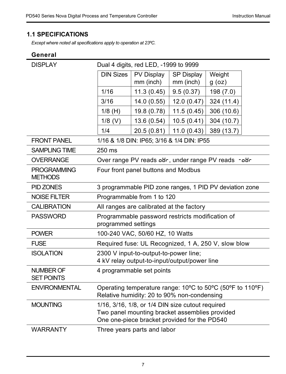# **1.1 SPECIFICATIONS**

*Except where noted all specifications apply to operation at 23ºC.*

# **General**

| <b>DISPLAY</b>                       | Dual 4 digits, red LED, -1999 to 9999 |                                                                                                                                                    |             |            |  |
|--------------------------------------|---------------------------------------|----------------------------------------------------------------------------------------------------------------------------------------------------|-------------|------------|--|
|                                      | <b>DIN Sizes</b>                      | PV Display                                                                                                                                         | SP Display  | Weight     |  |
|                                      |                                       | mm (inch)                                                                                                                                          | mm (inch)   | $g$ (oz)   |  |
|                                      | 1/16                                  | 11.3(0.45)                                                                                                                                         | 9.5(0.37)   | 198 (7.0)  |  |
|                                      | 3/16                                  | 14.0(0.55)                                                                                                                                         | 12.0(0.47)  | 324 (11.4) |  |
|                                      | $1/8$ (H)                             | 19.8 (0.78)                                                                                                                                        | 11.5(0.45)  | 306 (10.6) |  |
|                                      | $1/8$ (V)                             | 13.6 (0.54)                                                                                                                                        | 10.5(0.41)  | 304 (10.7) |  |
|                                      | 1/4                                   | 20.5 (0.81)                                                                                                                                        | 11.0 (0.43) | 389 (13.7) |  |
| <b>FRONT PANEL</b>                   |                                       | 1/16 & 1/8 DIN: IP65; 3/16 & 1/4 DIN: IP55                                                                                                         |             |            |  |
| <b>SAMPLING TIME</b>                 | 250 ms                                |                                                                                                                                                    |             |            |  |
| <b>OVERRANGE</b>                     |                                       | Over range PV reads our, under range PV reads - our-                                                                                               |             |            |  |
| <b>PROGRAMMING</b><br><b>METHODS</b> |                                       | Four front panel buttons and Modbus                                                                                                                |             |            |  |
| PID ZONES                            |                                       | 3 programmable PID zone ranges, 1 PID PV deviation zone                                                                                            |             |            |  |
| <b>NOISE FILTER</b>                  |                                       | Programmable from 1 to 120                                                                                                                         |             |            |  |
| <b>CALIBRATION</b>                   |                                       | All ranges are calibrated at the factory                                                                                                           |             |            |  |
| <b>PASSWORD</b>                      | programmed settings                   | Programmable password restricts modification of                                                                                                    |             |            |  |
| <b>POWER</b>                         |                                       | 100-240 VAC, 50/60 HZ, 10 Watts                                                                                                                    |             |            |  |
| <b>FUSE</b>                          |                                       | Required fuse: UL Recognized, 1 A, 250 V, slow blow                                                                                                |             |            |  |
| <b>ISOLATION</b>                     |                                       | 2300 V input-to-output-to-power line;                                                                                                              |             |            |  |
|                                      |                                       | 4 kV relay output-to-input/output/power line                                                                                                       |             |            |  |
| NUMBER OF<br><b>SET POINTS</b>       |                                       | 4 programmable set points                                                                                                                          |             |            |  |
| <b>ENVIRONMENTAL</b>                 |                                       | Operating temperature range: 10°C to 50°C (50°F to 110°F)<br>Relative humidity: 20 to 90% non-condensing                                           |             |            |  |
| <b>MOUNTING</b>                      |                                       | 1/16, 3/16, 1/8, or 1/4 DIN size cutout required<br>Two panel mounting bracket assemblies provided<br>One one-piece bracket provided for the PD540 |             |            |  |
| <b>WARRANTY</b>                      |                                       | Three years parts and labor                                                                                                                        |             |            |  |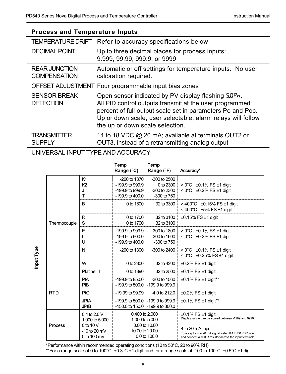# **Process and Temperature Inputs**

| <b>TEMPERATURE DRIFT</b>                    | Refer to accuracy specifications below                                                                                                                                                                                                                                         |
|---------------------------------------------|--------------------------------------------------------------------------------------------------------------------------------------------------------------------------------------------------------------------------------------------------------------------------------|
| <b>DECIMAL POINT</b>                        | Up to three decimal places for process inputs:<br>9.999, 99.99, 999.9, or 9999                                                                                                                                                                                                 |
| <b>REAR JUNCTION</b><br><b>COMPENSATION</b> | Automatic or off settings for temperature inputs. No user<br>calibration required.                                                                                                                                                                                             |
|                                             | OFFSET ADJUSTMENT Four programmable input bias zones                                                                                                                                                                                                                           |
| <b>SENSOR BREAK</b><br><b>DETECTION</b>     | Open sensor indicated by PV display flashing 5.0Pn.<br>All PID control outputs transmit at the user programmed<br>percent of full output scale set in parameters Po and Poc.<br>Up or down scale, user selectable; alarm relays will follow<br>the up or down scale selection. |
| <b>TRANSMITTER</b><br><b>SUPPLY</b>         | 14 to 18 VDC @ 20 mA; available at terminals OUT2 or<br>OUT3, instead of a retransmitting analog output                                                                                                                                                                        |

# UNIVERSAL INPUT TYPE AND ACCURACY

|           |              |                                                                                  | Temp<br>Range (°C)                                                                               | Temp<br>Range (°F)                                                   | Accuracy*                                                                                                                                                                                                                          |
|-----------|--------------|----------------------------------------------------------------------------------|--------------------------------------------------------------------------------------------------|----------------------------------------------------------------------|------------------------------------------------------------------------------------------------------------------------------------------------------------------------------------------------------------------------------------|
|           |              | K1<br>K <sub>2</sub><br>J<br>T                                                   | $-200$ to $1370$<br>-199.9 to 999.9<br>$-199.9$ to 999.9<br>$-199.9$ to $400.0$                  | $-300$ to $2500$<br>0 to 2300<br>$-300$ to $2300$<br>$-300$ to $750$ | $> 0^{\circ}$ C : ±0.1% FS ±1 digit<br>$<$ 0°C : $\pm$ 0.2% FS $\pm$ 1 digit                                                                                                                                                       |
|           |              | B                                                                                | 0 to 1800                                                                                        | 32 to 3300                                                           | $>$ 400 $^{\circ}$ C : ±0.15% FS ±1 digit<br>$<$ 400°C : ±5% FS ±1 digit                                                                                                                                                           |
|           | Thermocouple | R<br>S                                                                           | 0 to 1700<br>0 to 1700                                                                           | 32 to 3100<br>32 to 3100                                             | $±0.15\%$ FS $±1$ digit                                                                                                                                                                                                            |
|           |              | E<br>L<br>U                                                                      | $-199.9$ to 999.9<br>$-199.9$ to $900.0$<br>-199.9 to 400.0                                      | -300 to 1800<br>$-300$ to $1600$<br>-300 to 750                      | $> 0^{\circ}$ C : ±0.1% FS ±1 digit<br>$<$ 0°C : $\pm$ 0.2% FS $\pm$ 1 digit                                                                                                                                                       |
| nput Type |              | N                                                                                | $-200$ to $1300$                                                                                 | -300 to 2400                                                         | $> 0^{\circ}$ C : ±0.1% FS ±1 digit<br>$<$ 0°C : ±0.25% FS ±1 digit                                                                                                                                                                |
|           |              | W                                                                                | $0$ to $2300$                                                                                    | 32 to 4200                                                           | $\pm 0.2\%$ FS $\pm 1$ digit                                                                                                                                                                                                       |
|           |              | Platinel II                                                                      | 0 to 1390                                                                                        | 32 to 2500                                                           | $±0.1\%$ FS $±1$ digit                                                                                                                                                                                                             |
|           | <b>RTD</b>   | PtA<br>PtB                                                                       | $-199.9$ to 850.0<br>$-199.9$ to $500.0$ $-199.9$ to $999.9$                                     | $-300$ to $1560$                                                     | ±0.1% FS ±1 digit**                                                                                                                                                                                                                |
|           |              | PtC                                                                              | $-19.99$ to $99.99$                                                                              | $-4.0$ to 212.0                                                      | $\pm 0.2\%$ FS $\pm 1$ digit                                                                                                                                                                                                       |
|           |              | <b>JPtA</b><br><b>JPtB</b>                                                       | -199.9 to 500.0 -199.9 to 999.9                                                                  | -150.0 to 150.0 -199.9 to 300.0                                      | ±0.1% FS ±1 digit**                                                                                                                                                                                                                |
|           | Process      | $0.4$ to $2.0$ V<br>1,000 to 5,000<br>0 to 10 V<br>$-10$ to 20 mV<br>0 to 100 mV | $0.400$ to $2.000$<br>1.000 to 5.000<br>$0.00$ to $10.00$<br>$-10.00$ to $20.00$<br>0.0 to 100.0 |                                                                      | $±0.1\%$ FS $±1$ digit<br>Display range can be scaled between -1999 and 9999.<br>4 to 20 mA Input<br>To accept a 4 to 20 mA signal, select 0.4 to 2.0 VDC input<br>and connect a 100 $\Omega$ resistor across the input terminals. |

\*Performance within recommended operating conditions (10 to 50°C, 20 to 90% RH) \*\*For a range scale of 0 to 100°C: +0.3°C +1 digit, and for a range scale of -100 to 100°C: +0.5°C +1 digit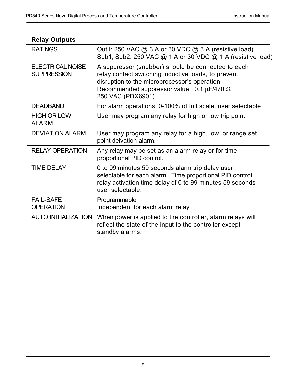| neiay Outputs                          |                                                                                                                                                                                                                                             |
|----------------------------------------|---------------------------------------------------------------------------------------------------------------------------------------------------------------------------------------------------------------------------------------------|
| <b>RATINGS</b>                         | Out1: 250 VAC @ 3 A or 30 VDC @ 3 A (resistive load)<br>Sub1, Sub2: 250 VAC @ 1 A or 30 VDC @ 1 A (resistive load)                                                                                                                          |
| ELECTRICAL NOISE<br><b>SUPPRESSION</b> | A suppressor (snubber) should be connected to each<br>relay contact switching inductive loads, to prevent<br>disruption to the microprocessor's operation.<br>Recommended suppressor value: $0.1 \mu$ F/470 $\Omega$ ,<br>250 VAC (PDX6901) |
| <b>DEADBAND</b>                        | For alarm operations, 0-100% of full scale, user selectable                                                                                                                                                                                 |
| <b>HIGH OR LOW</b><br><b>ALARM</b>     | User may program any relay for high or low trip point                                                                                                                                                                                       |
| <b>DEVIATION ALARM</b>                 | User may program any relay for a high, low, or range set<br>point deivation alarm.                                                                                                                                                          |
| <b>RELAY OPERATION</b>                 | Any relay may be set as an alarm relay or for time<br>proportional PID control.                                                                                                                                                             |
| <b>TIME DELAY</b>                      | 0 to 99 minutes 59 seconds alarm trip delay user<br>selectable for each alarm. Time proportional PID control<br>relay activation time delay of 0 to 99 minutes 59 seconds<br>user selectable.                                               |
| <b>FAIL-SAFE</b><br><b>OPERATION</b>   | Programmable<br>Independent for each alarm relay                                                                                                                                                                                            |
| AUTO INITIALIZATION                    | When power is applied to the controller, alarm relays will<br>reflect the state of the input to the controller except<br>standby alarms.                                                                                                    |

# **Relay Outputs**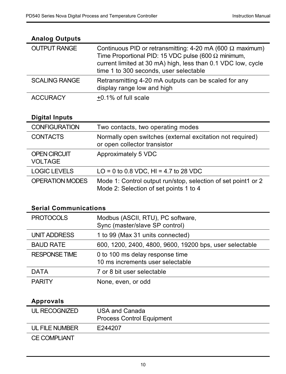| <b>Analog Outputs</b> |                                                                                                                                                                                                                                          |
|-----------------------|------------------------------------------------------------------------------------------------------------------------------------------------------------------------------------------------------------------------------------------|
| <b>OUTPUT RANGE</b>   | Continuous PID or retransmitting: 4-20 mA (600 $\Omega$ maximum)<br>Time Proportional PID: 15 VDC pulse (600 $\Omega$ minimum,<br>current limited at 30 mA) high, less than 0.1 VDC low, cycle<br>time 1 to 300 seconds, user selectable |
| <b>SCALING RANGE</b>  | Retransmitting 4-20 mA outputs can be scaled for any<br>display range low and high                                                                                                                                                       |
| <b>ACCURACY</b>       | +0.1% of full scale                                                                                                                                                                                                                      |

### **Analog Outputs**

# **Digital Inputs**

| <b>CONFIGURATION</b>                  | Two contacts, two operating modes                                                                       |
|---------------------------------------|---------------------------------------------------------------------------------------------------------|
| <b>CONTACTS</b>                       | Normally open switches (external excitation not required)<br>or open collector transistor               |
| <b>OPEN CIRCUIT</b><br><b>VOLTAGE</b> | Approximately 5 VDC                                                                                     |
| <b>LOGIC LEVELS</b>                   | $LO = 0$ to 0.8 VDC. HI = 4.7 to 28 VDC                                                                 |
| OPERATION MODES                       | Mode 1: Control output run/stop, selection of set point1 or 2<br>Mode 2: Selection of set points 1 to 4 |

# **Serial Communications**

| <b>PROTOCOLS</b>     | Modbus (ASCII, RTU), PC software,<br>Sync (master/slave SP control) |
|----------------------|---------------------------------------------------------------------|
| UNIT ADDRESS         | 1 to 99 (Max 31 units connected)                                    |
| <b>BAUD RATE</b>     | 600, 1200, 2400, 4800, 9600, 19200 bps, user selectable             |
| <b>RESPONSE TIME</b> | 0 to 100 ms delay response time<br>10 ms increments user selectable |
| <b>DATA</b>          | 7 or 8 bit user selectable                                          |
| <b>PARITY</b>        | None, even, or odd                                                  |

# **Approvals**

| UL RECOGNIZED       | USA and Canada<br><b>Process Control Equipment</b> |
|---------------------|----------------------------------------------------|
| UL FILE NUMBER      | F244207                                            |
| <b>CE COMPLIANT</b> |                                                    |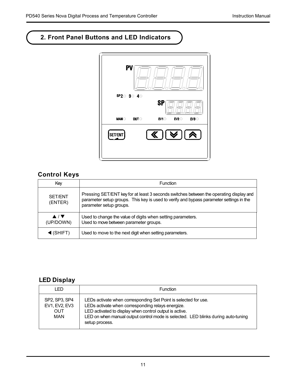# **2. Front Panel Buttons and LED Indicators**



# **Control Keys**

| Key                                                  | Function                                                                                                                                                                                                     |
|------------------------------------------------------|--------------------------------------------------------------------------------------------------------------------------------------------------------------------------------------------------------------|
| SET/ENT<br>(ENTER)                                   | Pressing SET/ENT key for at least 3 seconds switches between the operating display and<br>parameter setup groups. This key is used to verify and bypass parameter settings in the<br>parameter setup groups. |
| $\blacktriangle$ / $\blacktriangledown$<br>(UP/DOWN) | Used to change the value of digits when setting parameters.<br>Used to move between parameter groups.                                                                                                        |
| $\triangleleft$ (SHIFT)                              | Used to move to the next digit when setting parameters.                                                                                                                                                      |

# **LED Display**

| LED                                                 | Function                                                                                                                                                                                                                                                                               |
|-----------------------------------------------------|----------------------------------------------------------------------------------------------------------------------------------------------------------------------------------------------------------------------------------------------------------------------------------------|
| SP2, SP3, SP4<br>EV1, EV2, EV3<br>OUT<br><b>MAN</b> | LEDs activate when corresponding Set Point is selected for use.<br>LEDs activate when corresponding relays energize.<br>LED activated to display when control output is active.<br>LED on when manual output control mode is selected. LED blinks during auto-tuning<br>setup process. |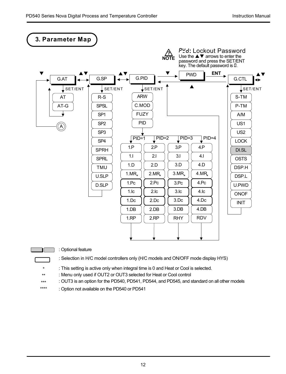



\*\*\*\* \*\*\* \*\*

: Optional feature

: Selection in H/C model controllers only (H/C models and ON/OFF mode display HYS)

\* : This setting is active only when integral time is 0 and Heat or Cool is selected.

: Menu only used if OUT2 or OUT3 selected for Heat or Cool control

: OUT3 is an option for the PD540, PD541, PD544, and PD545, and standard on all other models

: Option not available on the PD540 or PD541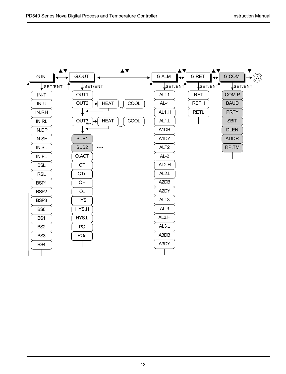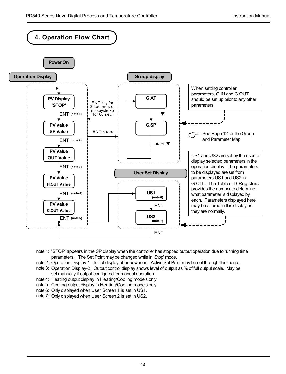

- note 1: 'STOP' appears in the SP display when the controller has stopped output operation due to running time parameters. The Set Point may be changed while in 'Stop' mode.
- note 2: Operation Display-1 : Initial display after power on. Active Set Point may be set through this menu.
- note 3: Operation Display-2 : Output control display shows level of output as % of full output scale. May be set manually if output configured for manual operation.
- note 4: Heating output display in Heating/Cooling models only.
- note 5: Cooling output display in Heating/Cooling models only.
- note 6: Only displayed when User Screen 1 is set in US1.
- note 7: Only displayed when User Screen 2 is set in US2.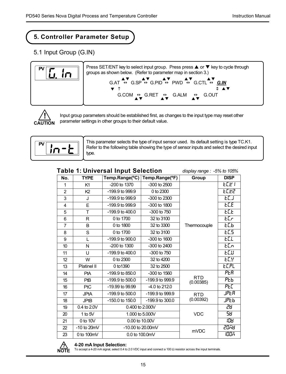# **5. Controller Parameter Setup**

5.1 Input Group (G.IN)





Input group parameters should be established first, as changes to the input type may reset other parameter settings in other groups to their default value.



This parameter selects the type of input sensor used. Its default setting is type TC.K1. Refer to the following table showing the type of sensor inputs and select the desired input type.

### **Table 1: Universal Input Selection**

*display range : -5% to 105%*

| No.            | <b>TYPE</b>     | Temp.Range(°C)      | Temp.Range(°F)  | Group                   | <b>DISP</b> |
|----------------|-----------------|---------------------|-----------------|-------------------------|-------------|
| 1              | K1              | -200 to 1370        | -300 to 2500    |                         | EC E T      |
| $\overline{2}$ | K <sub>2</sub>  | -199.9 to 999.9     | 0 to 2300       |                         | <i>ылг</i>  |
| 3              | J               | -199.9 to 999.9     | -300 to 2300    |                         | ECJ.        |
| $\overline{4}$ | E               | $-199.9$ to 999.9   | -300 to 1800    |                         | ECE         |
| 5              | T               | -199.9 to 400.0     | -300 to 750     |                         | ECE         |
| 6              | R               | 0 to 1700           | 32 to 3100      |                         | ECr         |
| $\overline{7}$ | B               | 0 to 1800           | 32 to 3300      | Thermocouple            | ьСь.        |
| 8              | S               | 0 to 1700           | 32 to 3100      |                         | EC5         |
| 9              | L               | -199.9 to 900.0     | -300 to 1600    |                         | ECL         |
| 10             | N               | -200 to 1300        | -300 to 2400    |                         | ECn         |
| 11             | U               | $-199.9$ to $400.0$ | -300 to 750     |                         | ъCи         |
| 12             | W               | 0 to 2300           | 32 to 4200      |                         | FC n        |
| 13             | Platinel II     | 0 to 1390           | 32 to 2500      |                         | ECPL        |
| 14             | PtA             | -199.9 to 850.0     | -300 to 1560    |                         | PER         |
| 15             | PtB             | -199.9 to 500.0     | -199.9 to 999.9 | <b>RTD</b><br>(0.00385) | Ръъ         |
| 16             | PtC             | $-19.99$ to $99.99$ | -4.0 to 212.0   |                         | PEC         |
| 17             | <b>JPtA</b>     | -199.9 to 500.0     | -199.9 to 999.9 | <b>RTD</b>              | JPER.       |
| 18             | <b>JPtB</b>     | -150.0 to 150.0     | -199.9 to 300.0 | (0.00392)               | јРъъ        |
| 19             | 0.4 to 2.0V     |                     | 0.400 to 2.000V |                         | 28          |
| 20             | 1 to $5V$       |                     | 1.000 to 5.000V |                         | 58          |
| 21             | 0 to 10V        | 0.00 to 10.00V      |                 |                         | 108         |
| 22             | $-10$ to $20mV$ | -10.00 to 20.00mV   |                 | <b>mVDC</b>             | 2058        |
| 23             | 0 to 100mV      | 0.0 to 100.0mV      |                 |                         | 1005        |



### **4-20 mA Input Selection:**

To accept a 4-20 mA signal, select 0.4 to 2.0 VDC input and connect a 100 Ω resistor across the input terminals. **?**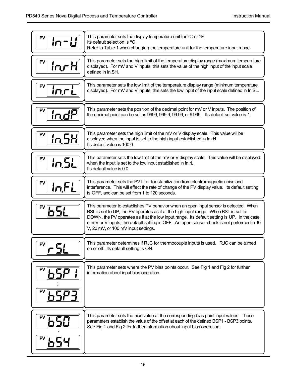| PV<br>កែ–ដ្ឋ          | This parameter sets the display temperature unit for °C or °F.<br>Its default selection is °C.<br>Refer to Table 1 when changing the temperature unit for the temperature input range.                                                                                                                                                                                                                          |
|-----------------------|-----------------------------------------------------------------------------------------------------------------------------------------------------------------------------------------------------------------------------------------------------------------------------------------------------------------------------------------------------------------------------------------------------------------|
| PV<br><u>in r H</u>   | This parameter sets the high limit of the temperature display range (maximum temperature<br>displayed). For mV and V inputs, this sets the value of the high input of the input scale<br>defined in In.SH.                                                                                                                                                                                                      |
| PV<br>lnrL            | This parameter sets the low limit of the temperature display range (minimum temperature<br>displayed). For mV and V inputs, this sets the low input of the input scale defined in In.SL.                                                                                                                                                                                                                        |
| PV<br>in.dP           | This parameter sets the position of the decimal point for mV or V inputs. The position of<br>the decimal point can be set as 9999, 999.9, 99.99, or 9.999. Its default set value is 1.                                                                                                                                                                                                                          |
| PV<br><u>In 5H</u>    | This parameter sets the high limit of the $mV$ or V display scale. This value will be<br>displayed when the input is set to the high input established in In.rH.<br>Its default value is 100.0.                                                                                                                                                                                                                 |
| PV<br><u>in.5L</u>    | This parameter sets the low limit of the mV or V display scale. This value will be displayed<br>when the input is set to the low input established in In.rL.<br>Its default value is 0.0.                                                                                                                                                                                                                       |
| PV<br>In.FL           | This parameter sets the PV filter for stabilization from electromagnetic noise and<br>interference. This will effect the rate of change of the PV display value. Its default setting<br>is OFF, and can be set from 1 to 120 seconds.                                                                                                                                                                           |
| $\sqrt[\text{P}]{5!}$ | This parameter to establishes PV behavior when an open input sensor is detected. When<br>BSL is set to UP, the PV operates as if at the high input range. When BSL is set to<br>DOWN, the PV operates as if at the low input range. Its default setting is UP. In the case<br>of mV or V inputs, the default setting is OFF. An open sensor check is not performed in 10<br>V, 20 mV, or 100 mV input settings. |
| PV                    | This parameter determines if RJC for thermocouple inputs is used. RJC can be turned<br>on or off. Its default setting is ON.                                                                                                                                                                                                                                                                                    |
| ™65P                  | This parameter sets where the PV bias points occur. See Fig 1 and Fig 2 for further<br>information about input bias operation.                                                                                                                                                                                                                                                                                  |
| 650                   | This parameter sets the bias value at the corresponding bias point input values. These<br>parameters establish the value of the offset at each of the defined BSP1 - BSP3 points.<br>See Fig 1 and Fig 2 for further information about input bias operation.                                                                                                                                                    |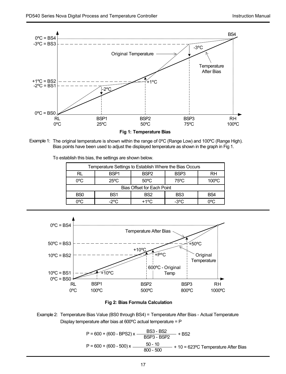

**Fig 1: Temperature Bias**

Example 1: The original temperature is shown within the range of  $0^{\circ}$ C (Range Low) and 100 $^{\circ}$ C (Range High). Bias points have been used to adjust the displayed temperature as shown in the graph in Fig 1.

| Temperature Settings to Establish Where the Bias Occurs |                                                                |                 |                 |                 |  |  |
|---------------------------------------------------------|----------------------------------------------------------------|-----------------|-----------------|-----------------|--|--|
| RL                                                      | BSP <sub>3</sub><br>RH<br>BSP <sub>2</sub><br>BSP <sub>1</sub> |                 |                 |                 |  |  |
| $0^{\circ}$ C                                           | $75^{\circ}$ C<br>$50^{\circ}$ C<br>100°C<br>$25^{\circ}$ C    |                 |                 |                 |  |  |
|                                                         | Bias Offset for Each Point                                     |                 |                 |                 |  |  |
| B <sub>S0</sub>                                         | BS <sub>1</sub>                                                | BS <sub>2</sub> | BS <sub>3</sub> | BS <sub>4</sub> |  |  |
| റ∘റ                                                     | -2ºC                                                           | +1°C            | $-3^{\circ}$ C  |                 |  |  |





Example 2: Temperature Bias Value (BS0 through BS4) = Temperature After Bias - Actual Temperature Display temperature after bias at 600ºC actual temperature = P

$$
P = 600 + (600 - BPS2)x - \frac{BSS - BS2}{BSP3 - BSP2} + BS2
$$
  

$$
P = 600 + (600 - 500)x - \frac{50 - 10}{800 - 500} + 10 = 623°C
$$
 Temperature After Bias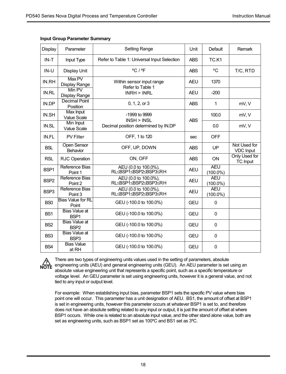| Display          | Parameter                                | Setting Range                                                                                                                                        | Unit       | Default                   | Remark                           |
|------------------|------------------------------------------|------------------------------------------------------------------------------------------------------------------------------------------------------|------------|---------------------------|----------------------------------|
| $IN-T$           | Input Type                               | Refer to Table 1: Universal Input Selection                                                                                                          | <b>ABS</b> | TC.K1                     |                                  |
| $IN-U$           | Display Unit                             | °C/°F                                                                                                                                                | <b>ABS</b> | °C                        | T/C, RTD                         |
| IN RH            | Max <sub>PV</sub><br>Display Range       | Within sensor input range<br>Refer to Table 1                                                                                                        | <b>AEU</b> | 1370                      |                                  |
| IN RL            | Min PV<br>Display Range                  | INRH > INRL                                                                                                                                          | <b>AEU</b> | $-200$                    |                                  |
| IN.DP            | <b>Decimal Point</b><br>Position         | 0, 1, 2, or 3                                                                                                                                        | <b>ABS</b> | 1                         | mV, V                            |
| IN.SH            | Max Input<br>Value Scale                 | $-1999$ to 9999<br>INSH > INSL                                                                                                                       | <b>ABS</b> | 100.0                     | mV.V                             |
| IN.SL            | Min Input<br>Value Scale                 | Decimal position determined by IN.DP                                                                                                                 |            | 0.0                       | mV, V                            |
| IN.FL            | <b>PV Filter</b>                         | OFF, 1 to 120                                                                                                                                        | sec        | OFF                       |                                  |
| <b>BSL</b>       | <b>Open Sensor</b><br>Behavior           | OFF, UP, DOWN                                                                                                                                        | <b>ABS</b> | UP                        | Not Used for<br><b>VDC Input</b> |
| <b>RSL</b>       | RJC Operation                            | ON. OFF                                                                                                                                              | <b>ABS</b> | ON                        | Only Used for<br><b>TC Input</b> |
| BSP <sub>1</sub> | Reference Bias<br>Point 1                | AEU (0.0 to 100.0%),<br>RL≤BSP1≤BSP2≤BSP3≤RH                                                                                                         | <b>AEU</b> | <b>AEU</b><br>$(100.0\%)$ |                                  |
| BSP <sub>2</sub> | Reference Bias<br>Point 2                | AEU (0.0 to 100.0%),<br>RL≤BSP1≤BSP2≤BSP3≤RH                                                                                                         | <b>AEU</b> | <b>AEU</b><br>$(100.0\%)$ |                                  |
| BSP3             | Reference Bias<br>Point 3                | AEU (0.0 to 100.0%),<br>RL <bsp1<bsp2<bsp3<rh< td=""><td><b>AEU</b></td><td><b>AEU</b><br/><math>(100.0\%)</math></td><td></td></bsp1<bsp2<bsp3<rh<> | <b>AEU</b> | <b>AEU</b><br>$(100.0\%)$ |                                  |
| BS <sub>0</sub>  | <b>Bias Value for RL</b><br>Point        | GEU (-100.0 to 100.0%)                                                                                                                               | GEU        | U                         |                                  |
| BS <sub>1</sub>  | <b>Bias Value at</b><br>BSP1             | GEU (-100.0 to 100.0%)                                                                                                                               | GEU        | $\Omega$                  |                                  |
| BS <sub>2</sub>  | <b>Bias Value at</b><br>BSP <sub>2</sub> | GEU (-100.0 to 100.0%)                                                                                                                               | GEU        | $\Omega$                  |                                  |
| BS <sub>3</sub>  | <b>Bias Value at</b><br>BSP <sub>3</sub> | GEU (-100.0 to 100.0%)                                                                                                                               | GEU        | $\Omega$                  |                                  |
| BS4              | <b>Bias Value</b><br>at RH               | GEU (-100.0 to 100.0%)                                                                                                                               | GEU        | $\Omega$                  |                                  |

### **Input Group Parameter Summary**



There are two types of engineering units values used in the setting of parameters, absolute engineering units (AEU) and general engineering units (GEU). An AEU parameter is set using an absolute value engineering unit that represents a specific point, such as a specific temperature or voltage level. An GEU parameter is set using engineering units, however it is a general value, and not tied to any input or output level.

For example: When establishing input bias, parameter BSP1 sets the specific PV value where bias point one will occur. This parameter has a unit designation of AEU. BS1, the amount of offset at BSP1 is set in engineering units, however this parameter occurs at whatever BSP1 is set to, and therefore does not have an absolute setting related to any input or output, it is just the amount of offset at where BSP1 occurs. While one is related to an absolute input value, and the other stand alone value, both are set as engineering units, such as BSP1 set as 100°C and BS1 set as 3°C.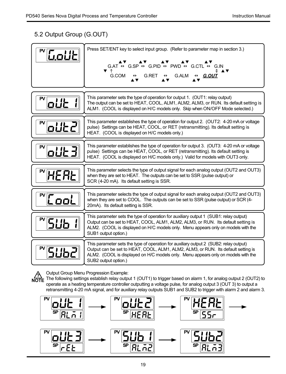# 5.2 Output Group (G.OUT)

| Goliti                            | Press SET/ENT key to select input group. (Refer to parameter map in section 3.)<br>AV.<br>G.AT $\leftrightarrow$ G.SP $\leftrightarrow$ G.PID $\leftrightarrow$ PWD $\leftrightarrow$ G.CTL $\leftrightarrow$ G.IN<br>▼ ↑<br><b>G.ALM</b><br>G.COM<br>G.RET<br>G.OUT                    |  |  |
|-----------------------------------|-----------------------------------------------------------------------------------------------------------------------------------------------------------------------------------------------------------------------------------------------------------------------------------------|--|--|
| PV<br>olit                        | This parameter sets the type of operation for output 1. (OUT1: relay output)<br>The output can be set to HEAT, COOL, ALM1, ALM2, ALM3, or RUN. Its default setting is<br>ALM1. (COOL is displayed on H/C models only. Skip when ON/OFF Mode selected.)                                  |  |  |
| PV<br>oUt2                        | This parameter establishes the type of operation for output 2. (OUT2: 4-20 mA or voltage<br>pulse) Settings can be HEAT, COOL, or RET (retransmitting). Its default setting is<br>HEAT. (COOL is displayed on H/C models only.)                                                         |  |  |
| PV                                | This parameter establishes the type of operation for output 3. (OUT3: 4-20 mA or voltage<br>pulse) Settings can be HEAT, COOL, or RET (retransmitting). Its default setting is<br>HEAT. (COOL is displayed on H/C models only.) Valid for models with OUT3 only.                        |  |  |
| HEAL                              | This parameter selects the type of output signal for each analog output (OUT2 and OUT3)<br>when they are set to HEAT. The outputs can be set to SSR (pulse output) or<br>SCR (4-20 mA). Its default setting is SSR.                                                                     |  |  |
| $\sqrt[\mathbb{P}]{\text{L}}$ ool | This parameter selects the type of output signal for each analog output (OUT2 and OUT3)<br>when they are set to COOL. The outputs can be set to SSR (pulse output) or SCR (4-<br>20mA). Its default setting is SSR.                                                                     |  |  |
|                                   | This parameter sets the type of operation for auxiliary output 1 (SUB1: relay output)<br>Output can be set to HEAT, COOL, ALM1, ALM2, ALM3, or RUN. Its default setting is<br>ALM2. (COOL is displayed on H/C models only. Menu appears only on models with the<br>SUB1 output option.) |  |  |
|                                   | This parameter sets the type of operation for auxiliary output 2 (SUB2: relay output)<br>Output can be set to HEAT, COOL, ALM1, ALM2, ALM3, or RUN. Its default setting is<br>ALM2. (COOL is displayed on H/C models only. Menu appears only on models with the<br>SUB2 output option.) |  |  |

Output Group Menu Progression Example:

**POTE**<br> **NOTE** The following settings establish relay output 1 (OUT1) to trigger based on alarm 1, for analog output 2 (OUT2) to operate as a heating temperature controller outputting a voltage pulse, for analog output 3 (OUT 3) to output a retransmitting 4-20 mA signal, and for auxiliary relay outputs SUB1 and SUB2 to trigger with alarm 2 and alarm 3.

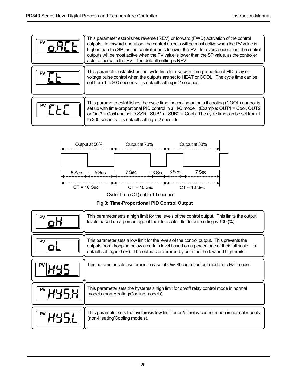



Cycle Time (CT) set to 10 seconds

**Fig 3: Time-Proportional PID Control Output**

| PV. | This parameter sets a high limit for the levels of the control output. This limits the output<br>levels based on a percentage of their full scale. Its default setting is 100 (%).                                                                                              |
|-----|---------------------------------------------------------------------------------------------------------------------------------------------------------------------------------------------------------------------------------------------------------------------------------|
| PV  | This parameter sets a low limit for the levels of the control output. This prevents the<br>outputs from dropping below a certain level based on a percentage of their full scale. Its<br>default setting is 0 (%). The outputs are limited by both the the low and high limits. |
|     | This parameter sets hysteresis in case of On/Off control output mode in a H/C model.                                                                                                                                                                                            |
|     | This parameter sets the hysteresis high limit for on/off relay control mode in normal<br>models (non-Heating/Cooling models).                                                                                                                                                   |
|     | This parameter sets the hysteresis low limit for on/off relay control mode in normal models<br>(non-Heating/Cooling models).                                                                                                                                                    |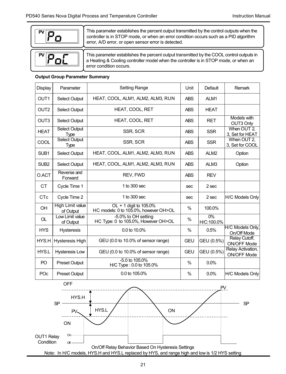

**PV** poC This parameter establishes the percent output transmitted by the control outputs when the controller is in STOP mode, or when an error condition occurs such as a PID algorithm error, A/D error, or open sensor error is detected.

This parameter establishes the percent output transmitted by the COOL control outputs in a Heating & Cooling controller model when the controller is in STOP mode, or when an error condition occurs.

### **Output Group Parameter Summary**

| Display          | Parameter                     | <b>Setting Range</b>                                            | Unit       | Default          | Remark                           |
|------------------|-------------------------------|-----------------------------------------------------------------|------------|------------------|----------------------------------|
| OUT <sub>1</sub> | Select Output                 | HEAT. COOL. ALM1. ALM2. ALM3. RUN<br><b>ABS</b>                 |            | ALM1             |                                  |
| OUT <sub>2</sub> | Select Output                 | HEAT, COOL, RET                                                 | <b>ABS</b> | <b>HEAT</b>      |                                  |
| OUT <sub>3</sub> | Select Output                 | HEAT. COOL. RET                                                 | <b>ABS</b> | <b>RET</b>       | Models with<br>OUT3 Only         |
| <b>HEAT</b>      | Select Output<br>Type         | SSR, SCR                                                        | <b>ABS</b> | <b>SSR</b>       | When OUT 2,<br>3. Set for HEAT   |
| COOL             | <b>Select Output</b><br>Type  | SSR, SCR                                                        | <b>ABS</b> | <b>SSR</b>       | When OUT 2,<br>3. Set for COOL   |
| SUB <sub>1</sub> | Select Output                 | HEAT, COOL, ALM1, ALM2, ALM3, RUN                               | <b>ABS</b> | ALM <sub>2</sub> | Option                           |
| SUB <sub>2</sub> | Select Output                 | HEAT, COOL, ALM1, ALM2, ALM3, RUN                               | <b>ABS</b> | ALM3             | Option                           |
| O.ACT            | Reverse and<br>Forward        | REV. FWD                                                        | <b>ABS</b> | <b>REV</b>       |                                  |
| CT               | Cycle Time 1                  | 1 to 300 sec                                                    | sec        | $2$ sec          |                                  |
| C <sub>Tc</sub>  | Cycle Time 2                  | 1 to 300 sec                                                    | sec        | $2$ sec          | H/C Models Only                  |
| <b>OH</b>        | High Limit value<br>of Output | OL + 1 digit to 105.0%<br>HC models: 0 to 105.0%, however OH>OL | $\%$       | 100.0%           |                                  |
| OL               | Low Limit value<br>of Output  | -5.0% to OH setting<br>HC Type: 0 to 105.0%, However OH>OL      | %          | 0%<br>H/C:100.0% |                                  |
| <b>HYS</b>       | <b>Hysteresis</b>             | 0.0 to 10.0%                                                    | $\%$       | 0.5%             | H/C Models Only,<br>On/Off Mode  |
| HYS.H            | <b>Hysteresis High</b>        | GEU (0.0 to 10.0% of sensor range)                              | GEU        | GEU (0.5%)       | Relay Cutoff,<br>ON/OFF Mode     |
| HYS.L            | <b>Hysteresis Low</b>         | GEU (0.0 to 10.0% of sensor range)                              | GEU        | GEU (0.5%)       | Relay Activation,<br>ON/OFF Mode |
| P <sub>O</sub>   | Preset Output                 | $-5.0$ to $105.0%$<br>H/C Type: 0.0 to 105.0%                   | $\%$       | 0.0%             |                                  |
| POc              | Preset Output                 | 0.0 to 105.0%                                                   | %          | 0.0%             | <b>H/C Models Only</b>           |

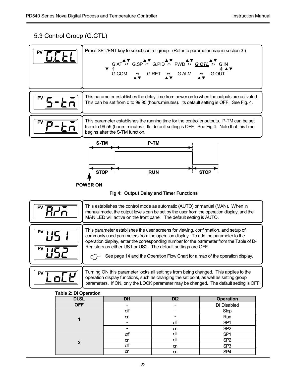# 5.3 Control Group (G.CTL)

|                                                                                                                 | GCEL                                                                                                                                                                                                                                                                                                                                                                                                                        | Press SET/ENT key to select control group. (Refer to parameter map in section 3.)<br>G.COM<br>$\leftrightarrow$                                                                        | $G.AT \overset{\blacktriangle\blacktriangledown}{\leftrightarrow} G.SP \overset{\blacktriangle\blacktriangledown}{\leftrightarrow} G.PID \overset{\blacktriangle\blacktriangledown}{\leftrightarrow} PWD \overset{\blacktriangle\blacktriangledown}{\leftrightarrow} \underline{G.CTL} \overset{\blacktriangle\blacktriangledown}{\leftrightarrow} G.N$<br><b>G.ALM</b><br>$G.RET \leftrightarrow$ | G.OUT                                                                                                                                                                                |  |  |
|-----------------------------------------------------------------------------------------------------------------|-----------------------------------------------------------------------------------------------------------------------------------------------------------------------------------------------------------------------------------------------------------------------------------------------------------------------------------------------------------------------------------------------------------------------------|----------------------------------------------------------------------------------------------------------------------------------------------------------------------------------------|----------------------------------------------------------------------------------------------------------------------------------------------------------------------------------------------------------------------------------------------------------------------------------------------------------------------------------------------------------------------------------------------------|--------------------------------------------------------------------------------------------------------------------------------------------------------------------------------------|--|--|
|                                                                                                                 | 5-Łñ                                                                                                                                                                                                                                                                                                                                                                                                                        | This parameter establishes the delay time from power on to when the outputs are activated.<br>This can be set from 0 to 99.95 (hours.minutes). Its default setting is OFF. See Fig. 4. |                                                                                                                                                                                                                                                                                                                                                                                                    |                                                                                                                                                                                      |  |  |
|                                                                                                                 | <u>tn</u>                                                                                                                                                                                                                                                                                                                                                                                                                   | begins after the S-TM function.                                                                                                                                                        |                                                                                                                                                                                                                                                                                                                                                                                                    | This parameter establishes the running time for the controller outputs. P-TM can be set<br>from to 99.59 (hours minutes). Its default setting is OFF. See Fig 4. Note that this time |  |  |
| S-TM<br>P-TM<br><b>STOP</b><br><b>RUN</b><br><b>STOP</b><br>POWER ON<br>Fig 4: Output Delay and Timer Functions |                                                                                                                                                                                                                                                                                                                                                                                                                             |                                                                                                                                                                                        |                                                                                                                                                                                                                                                                                                                                                                                                    |                                                                                                                                                                                      |  |  |
|                                                                                                                 | This establishes the control mode as automatic (AUTO) or manual (MAN). When in<br>Arā<br>manual mode, the output levels can be set by the user from the operation display, and the<br>MAN LED will active on the front panel. The default setting is AUTO.                                                                                                                                                                  |                                                                                                                                                                                        |                                                                                                                                                                                                                                                                                                                                                                                                    |                                                                                                                                                                                      |  |  |
|                                                                                                                 | This parameter establishes the user screens for viewing, confirmation, and setup of<br>commonly used parameters from the operation display. To add the parameter to the<br>operation display, enter the corresponding number for the parameter from the Table of D-<br>Registers as either US1 or US2. The default settings are OFF.<br>usa<br>See page 14 and the Operation Flow Chart for a map of the operation display. |                                                                                                                                                                                        |                                                                                                                                                                                                                                                                                                                                                                                                    |                                                                                                                                                                                      |  |  |
|                                                                                                                 |                                                                                                                                                                                                                                                                                                                                                                                                                             |                                                                                                                                                                                        |                                                                                                                                                                                                                                                                                                                                                                                                    |                                                                                                                                                                                      |  |  |
|                                                                                                                 | Lo[Ľ                                                                                                                                                                                                                                                                                                                                                                                                                        | operation display functions, such as changing the set point, as well as setting group                                                                                                  |                                                                                                                                                                                                                                                                                                                                                                                                    | Turning ON this parameter locks all settings from being changed. This applies to the<br>parameters. If ON, only the LOCK parameter may be changed. The default setting is OFF.       |  |  |
|                                                                                                                 | <b>Table 2: DI Operation</b>                                                                                                                                                                                                                                                                                                                                                                                                |                                                                                                                                                                                        |                                                                                                                                                                                                                                                                                                                                                                                                    |                                                                                                                                                                                      |  |  |
|                                                                                                                 | DI.SL                                                                                                                                                                                                                                                                                                                                                                                                                       | DI1                                                                                                                                                                                    | DI <sub>2</sub>                                                                                                                                                                                                                                                                                                                                                                                    | <b>Operation</b>                                                                                                                                                                     |  |  |
|                                                                                                                 | <b>OFF</b>                                                                                                                                                                                                                                                                                                                                                                                                                  |                                                                                                                                                                                        | ÷                                                                                                                                                                                                                                                                                                                                                                                                  | DI Disabled                                                                                                                                                                          |  |  |
|                                                                                                                 |                                                                                                                                                                                                                                                                                                                                                                                                                             | off                                                                                                                                                                                    | $\overline{\phantom{a}}$                                                                                                                                                                                                                                                                                                                                                                           | Stop                                                                                                                                                                                 |  |  |
|                                                                                                                 | 1                                                                                                                                                                                                                                                                                                                                                                                                                           | <b>on</b><br>÷.                                                                                                                                                                        |                                                                                                                                                                                                                                                                                                                                                                                                    | Run                                                                                                                                                                                  |  |  |
|                                                                                                                 |                                                                                                                                                                                                                                                                                                                                                                                                                             | ÷                                                                                                                                                                                      | off<br><b>on</b>                                                                                                                                                                                                                                                                                                                                                                                   | SP <sub>1</sub><br>SP <sub>2</sub>                                                                                                                                                   |  |  |
|                                                                                                                 |                                                                                                                                                                                                                                                                                                                                                                                                                             | off                                                                                                                                                                                    | off<br>off                                                                                                                                                                                                                                                                                                                                                                                         | SP <sub>1</sub>                                                                                                                                                                      |  |  |

off on SP3 on on SP4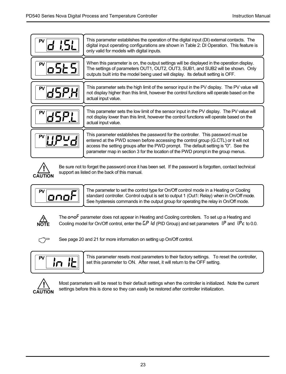| This parameter establishes the operation of the digital input (DI) external contacts. The<br>digital input operating configurations are shown in Table 2: DI Operation. This feature is<br>only valid for models with digital inputs.                                                                                                                |
|------------------------------------------------------------------------------------------------------------------------------------------------------------------------------------------------------------------------------------------------------------------------------------------------------------------------------------------------------|
| When this parameter is on, the output settings will be displayed in the operation display.<br>The settings of parameters OUT1, OUT2, OUT3, SUB1, and SUB2 will be shown. Only<br>outputs built into the model being used will display. Its default setting is OFF.                                                                                   |
| This parameter sets the high limit of the sensor input in the PV display. The PV value will<br>not display higher than this limit, however the control functions will operate based on the<br>actual input value.                                                                                                                                    |
| This parameter sets the low limit of the sensor input in the PV display. The PV value will<br>not display lower than this limit, however the control functions will operate based on the<br>actual input value.                                                                                                                                      |
| This parameter establishes the password for the controller. This password must be<br>entered at the PWD screen before accessing the control group (G.CTL) or it will not<br>access the setting groups after the PWD prompt. The default setting is "0". See the<br>parameter map in section 3 for the location of the PWD prompt in the group menus. |



Be sure not to forget the password once it has been set. If the password is forgotten, contact technical support as listed on the back of this manual.



The parameter to set the control type for On/Off control mode in a Heating or Cooling standard controller. Control output is set to output 1 (Out1: Relay) when in On/Off mode. See hysteresis commands in the output group for operating the relay in On/Off mode.



The **onof** parameter does not appear in Heating and Cooling controllers. To set up a Heating and Cooling model for On/Off control, enter the GP Id (PID Group) and set parameters  $1P$  and  $1P<sub>C</sub>$  to 0.0.



See page 20 and 21 for more information on setting up On/Off control.



This parameter resets most parameters to their factory settings. To reset the controller, set this parameter to ON. After reset, it will return to the OFF setting.



Most parameters will be reset to their default settings when the controller is initialized. Note the current settings before this is done so they can easily be restored after controller initialization.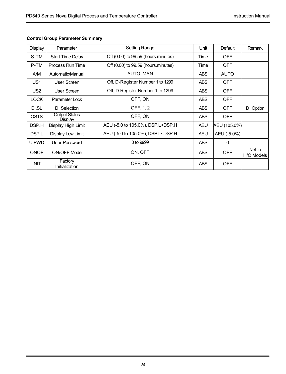| Display         | Parameter                       | Setting Range                                                                                        | Unit        | Default      | Remark               |
|-----------------|---------------------------------|------------------------------------------------------------------------------------------------------|-------------|--------------|----------------------|
| S-TM            | <b>Start Time Delay</b>         | Off (0.00) to 99.59 (hours.minutes)                                                                  | <b>Time</b> | <b>OFF</b>   |                      |
| P-TM            | Process Run Time                | Off (0.00) to 99.59 (hours.minutes)                                                                  | Time        | <b>OFF</b>   |                      |
| A/M             | Automatic/Manual                | AUTO, MAN                                                                                            | <b>ABS</b>  | <b>AUTO</b>  |                      |
| US <sub>1</sub> | User Screen                     | Off, D-Register Number 1 to 1299                                                                     | <b>ABS</b>  | OFF          |                      |
| US <sub>2</sub> | User Screen                     | Off, D-Register Number 1 to 1299                                                                     | <b>ABS</b>  | <b>OFF</b>   |                      |
| <b>LOCK</b>     | Parameter Lock                  | OFF, ON                                                                                              | <b>ABS</b>  | <b>OFF</b>   |                      |
| DI.SL           | DI Selection                    | OFF, 1, 2                                                                                            | <b>ABS</b>  | OFF          | DI Option            |
| <b>OSTS</b>     | <b>Output Status</b><br>Display | OFF, ON                                                                                              | <b>ABS</b>  | <b>OFF</b>   |                      |
| DSP.H           | Display High Limit              | AEU (-5.0 to 105.0%), DSP.L <dsp.h< td=""><td><b>AEU</b></td><td>AEU (105.0%)</td><td></td></dsp.h<> | <b>AEU</b>  | AEU (105.0%) |                      |
| DSP.L           | Display Low Limit               | AEU (-5.0 to 105.0%), DSP.L <dsp.h< td=""><td><b>AEU</b></td><td>AEU (-5.0%)</td><td></td></dsp.h<>  | <b>AEU</b>  | AEU (-5.0%)  |                      |
| U.PWD           | User Password                   | 0 to 9999                                                                                            | <b>ABS</b>  | $\Omega$     |                      |
| ONOF            | ON/OFF Mode                     | ON. OFF                                                                                              | <b>ABS</b>  | <b>OFF</b>   | Not in<br>H/C Models |
| <b>INIT</b>     | Factory<br>Initialization       | OFF, ON                                                                                              | <b>ABS</b>  | <b>OFF</b>   |                      |

### **Control Group Parameter Summary**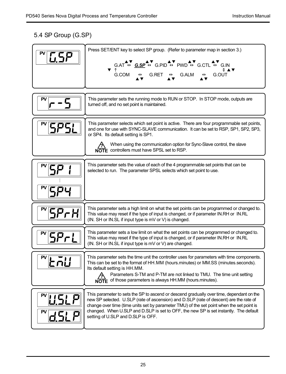# 5.4 SP Group (G.SP)

| 658                 | Press SET/ENT key to select SP group. (Refer to parameter map in section 3.)<br>$G.AT \leftrightarrow \underline{G.SP} \leftrightarrow G.PID \leftrightarrow PWD \leftrightarrow G.CTL \leftrightarrow G.N$<br><b>v</b> 1<br>G.COM<br>$G.RET \leftrightarrow$<br><b>G.ALM</b><br>G.OUT<br>$\leftrightarrow$<br>$\leftrightarrow$                                                                               |
|---------------------|----------------------------------------------------------------------------------------------------------------------------------------------------------------------------------------------------------------------------------------------------------------------------------------------------------------------------------------------------------------------------------------------------------------|
|                     | This parameter sets the running mode to RUN or STOP. In STOP mode, outputs are<br>turned off, and no set point is maintained.                                                                                                                                                                                                                                                                                  |
| 5851                | This parameter selects which set point is active. There are four programmable set points,<br>and one for use with SYNC-SLAVE communication. It can be set to RSP, SP1, SP2, SP3,<br>or SP4. Its default setting is SP1.<br>When using the communication option for Sync-Slave control, the slave<br>NOTE controllers must have SPSL set to RSP.                                                                |
| ϚΡΥ                 | This parameter sets the value of each of the 4 programmable set points that can be<br>selected to run. The parameter SPSL selects which set point to use.                                                                                                                                                                                                                                                      |
| 5Pr.HI              | This parameter sets a high limit on what the set points can be programmed or changed to.<br>This value may reset if the type of input is changed, or if parameter IN.RH or IN.RL<br>(IN. SH or IN.SL if input type is mV or V) is changed.                                                                                                                                                                     |
| SPrL                | This parameter sets a low limit on what the set points can be programmed or changed to.<br>This value may reset if the type of input is changed, or if parameter IN.RH or IN.RL<br>(IN. SH or IN.SL if input type is mV or V) are changed.                                                                                                                                                                     |
| とうじ                 | This parameter sets the time unit the controller uses for parameters with time components.<br>This can be set to the format of HH.MM (hours.minutes) or MM.SS (minutes.seconds).<br>Its default setting is HH.MM.<br>Parameters S-TM and P-TM are not linked to TMU. The time unit setting<br>NOTE of those parameters is always HH.MM (hours.minutes).                                                        |
| PV<br><b>U.SL P</b> | This parameter to sets the SP to ascend or descend gradually over time, dependant on the<br>new SP selected. U.SLP (rate of ascension) and D.SLP (rate of descent) are the rate of<br>change over time (time units set by parameter TMU) of the set point when the set point is<br>changed. When U.SLP and D.SLP is set to OFF, the new SP is set instantly. The default<br>setting of U.SLP and D.SLP is OFF. |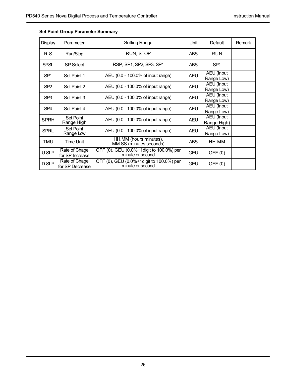| Display         | Parameter                        | <b>Setting Range</b>                                         | Unit       | Default                          | Remark |
|-----------------|----------------------------------|--------------------------------------------------------------|------------|----------------------------------|--------|
| $R-S$           | Run/Stop                         | RUN, STOP                                                    | <b>ABS</b> | <b>RUN</b>                       |        |
| <b>SPSL</b>     | SP Select                        | RSP. SP1, SP2, SP3, SP4                                      | <b>ABS</b> | SP <sub>1</sub>                  |        |
| SP <sub>1</sub> | Set Point 1                      | AEU (0.0 - 100.0% of input range)                            | <b>AEU</b> | AEU (Input<br>Range Low)         |        |
| SP <sub>2</sub> | Set Point 2                      | AEU (0.0 - 100.0% of input range)                            | <b>AEU</b> | AEU (Input<br>Range Low)         |        |
| SP <sub>3</sub> | Set Point 3                      | AEU (0.0 - 100.0% of input range)                            | <b>AEU</b> | <b>AEU</b> (Input<br>Range Low)  |        |
| SP <sub>4</sub> | Set Point 4                      | AEU (0.0 - 100.0% of input range)                            | <b>AEU</b> | AEU (Input<br>Range Low)         |        |
| <b>SPRH</b>     | Set Point<br>Range High          | AEU (0.0 - 100.0% of input range)                            | <b>AEU</b> | <b>AEU</b> (Input<br>Range High) |        |
| SPRL            | Set Point<br>Range Low           | AEU (0.0 - 100.0% of input range)                            | <b>AEU</b> | AEU (Input<br>Range Low)         |        |
| TMU             | <b>Time Unit</b>                 | HH.MM (hours.minutes),<br>MM.SS (minutes.seconds)            | <b>ABS</b> | HH.MM                            |        |
| U.SLP           | Rate of Chage<br>for SP Increase | OFF (0), GEU (0.0%+1digit to 100.0%) per<br>minute or second | <b>GEU</b> | OFF (0)                          |        |
| D.SLP           | Rate of Chage<br>for SP Decrease | OFF (0), GEU (0.0%+1digit to 100.0%) per<br>minute or second | <b>GEU</b> | OFF(0)                           |        |

### **Set Point Group Parameter Summary**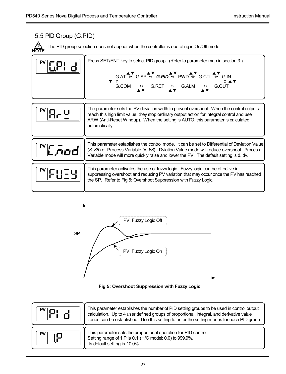### 5.5 PID Group (G.PID) The parameter sets the PV deviation width to prevent overshoot. When the control outputs reach this high limit value, they stop ordinary output action for integral control and use ARW (Anti-Reset Windup). When the setting is AUTO, this parameter is calculated automatically. **PV PV** This parameter activates the use of fuzzy logic. Fuzzy logic can be effective in suppressing overshoot and reducing PV variation that may occur once the PV has reached the SP. Refer to Fig 5: Overshoot Suppression with Fuzzy Logic. **PV** The PID group selection does not appear when the controller is operating in On/Off mode Press SET/ENT key to select PID group. (Refer to parameter map in section 3.) **? NOTE** G.AT ↔ G.SP ↔ <u>G.**PID**</u> ↔ PWD ↔ G.CTL ↔ G.IN<br>↑ ↑  $G.COM \leftrightarrow G.RET \leftrightarrow G.ALM \leftrightarrow G.OUT$ AV AV AV AV AV ▲▼ ▲▼ ▴▼ ▲▼ ▼ This parameter establishes the control mode. It can be set to Differential of Deviation Value (d. db) or Process Variable (d. Pb). Dviation Value mode will reduce overshoot. Process Variable mode will more quickly raise and lower the PV. The default setting is d. dv. **PV** C.mod





| This parameter establishes the number of PID setting groups to be used in control output<br>calculation. Up to 4 user defined groups of proportional, integral, and derivative value<br>zones can be established. Use this setting to enter the setting menus for each PID group. |
|-----------------------------------------------------------------------------------------------------------------------------------------------------------------------------------------------------------------------------------------------------------------------------------|
| This parameter sets the proportional operation for PID control.<br>Setting range of 1.P is 0.1 (H/C model: 0.0) to 999.9%.<br>Its default setting is 10.0%.                                                                                                                       |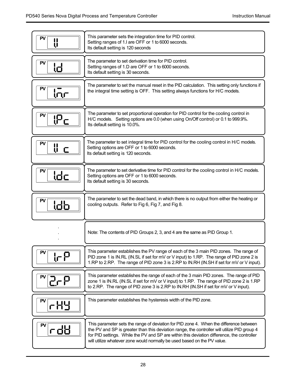| PV<br>IJ          | This parameter sets the integration time for PID control.<br>Setting ranges of 1.I are OFF or 1 to 6000 seconds.<br>Its default setting is 120 seconds                                                                                                                                                                                                          |
|-------------------|-----------------------------------------------------------------------------------------------------------------------------------------------------------------------------------------------------------------------------------------------------------------------------------------------------------------------------------------------------------------|
| PV<br>ιd          | The parameter to set derivation time for PID control.<br>Setting ranges of 1.D are OFF or 1 to 6000 seconds.<br>Its default setting is 30 seconds.                                                                                                                                                                                                              |
| PV<br><u> (որ</u> | The parameter to set the manual reset in the PID calculation. This setting only functions if<br>the integral time setting is OFF. This setting always functions for H/C models.                                                                                                                                                                                 |
| PV<br>iΡc         | The parameter to set proportional operation for PID control for the cooling control in<br>H/C models. Setting options are 0.0 (when using On/Off control) or 0.1 to 999.9%.<br>Its default setting is 10.0%.                                                                                                                                                    |
| PV<br>IJ.<br>C    | The parameter to set integral time for PID control for the cooling control in H/C models.<br>Setting options are OFF or 1 to 6000 seconds.<br>Its default setting is 120 seconds.                                                                                                                                                                               |
| PV<br>ldc         | The parameter to set derivative time for PID control for the cooling control in H/C models.<br>Setting options are OFF or 1 to 6000 seconds.<br>Its default setting is 30 seconds.                                                                                                                                                                              |
| PV<br>ldЬ         | The parameter to set the dead band, in which there is no output from either the heating or<br>cooling outputs. Refer to Fig 6, Fig 7, and Fig 8.                                                                                                                                                                                                                |
|                   | Note: The contents of PID Groups 2, 3, and 4 are the same as PID Group 1.                                                                                                                                                                                                                                                                                       |
| PV<br>ᡁ᠌᠌         | This parameter establishes the PV range of each of the 3 main PID zones. The range of<br>PID zone 1 is IN.RL (IN.SL if set for mV or V input) to 1.RP. The range of PID zone 2 is<br>1.RP to 2.RP. The range of PID zone 3 is 2.RP to IN.RH (IN.SH if set for mV or V input).                                                                                   |
| PV<br>2-5         | This parameter establishes the range of each of the 3 main PID zones. The range of PID<br>zone 1 is IN.RL (IN.SL if set for mV or V input) to 1.RP. The range of PID zone 2 is 1.RP<br>to 2.RP. The range of PID zone 3 is 2.RP to IN.RH (IN.SH if set for mV or V input).                                                                                      |
| P٧<br>rHY         | This parameter establishes the hysteresis width of the PID zone.                                                                                                                                                                                                                                                                                                |
|                   | This parameter sets the range of deviation for PID zone 4. When the difference between<br>the PV and SP is greater than this deviation range, the controller will utilize PID group 4<br>for PID settings. While the PV and SP are within this deviation difference, the controller<br>will utilize whatever zone would normally be used based on the PV value. |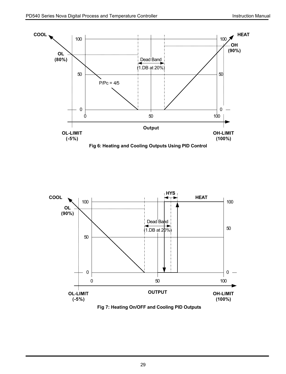

**Fig 6: Heating and Cooling Outputs Using PID Control**



**Fig 7: Heating On/OFF and Cooling PID Outputs**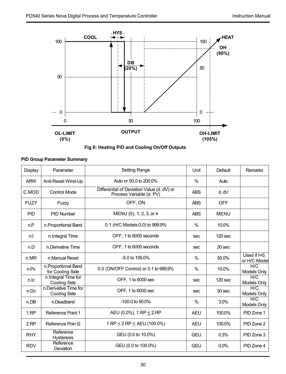



### **PID Group Parameter Summary**

| Display     | Parameter                                    | Setting Range                                                          | Unit          | Default           | Remarks                         |
|-------------|----------------------------------------------|------------------------------------------------------------------------|---------------|-------------------|---------------------------------|
| <b>ARW</b>  | Anti-Reset Wind-Up                           | Auto or 50.0 to 200.0%                                                 | $\%$          | Auto              |                                 |
| C.MOD       | Control Mode                                 | Differential of Deviation Value (d. dV) or<br>Process Variable (d. PV) | <b>ABS</b>    | d. dV             |                                 |
| <b>FUZY</b> | Fuzzy                                        | OFF, ON                                                                | <b>ABS</b>    | OFF               |                                 |
| PID         | PID Number                                   | MENU (0), 1, 2, 3, or 4                                                | <b>ABS</b>    | <b>MENU</b>       |                                 |
| n.P         | n.Proportional Band                          | 0.1 (H/C Models:0.0) to 999.9%                                         | $\%$          | 10.0%             |                                 |
| n.l         | n.Integral Time                              | OFF. 1 to 6000 seconds                                                 | sec.          | $120$ sec         |                                 |
| n.D         | n Derivative Time                            | OFF, 1 to 6000 seconds                                                 | sec.          | 30 <sub>sec</sub> |                                 |
| n.MR        | n.Manual Reset                               | $-5.0$ to $105.0%$                                                     | $\frac{0}{0}$ | 50.0%             | Used if $I=0$ .<br>or H/C Model |
| n.Pc        | n.Proportional Band<br>for Cooling Side      | 0.0 (ON/OFF Control) or 0.1 to 999.9%                                  | $\frac{0}{0}$ | 10.0%             | H/C<br>Models Only              |
| n.lc        | n.Integral Time for<br><b>Cooling Side</b>   | OFF, 1 to 6000 sec                                                     | sec           | $120$ sec         | H/C<br>Models Only              |
| n.Dc        | n Derivative Time for<br><b>Cooling Side</b> | OFF. 1 to 6000 sec                                                     | sec.          | 30 <sub>sec</sub> | H/C<br>Models Only              |
| n.DB        | n Deadband                                   | $-100.0$ to 50.0%                                                      | %             | 3.0%              | H/C<br>Models Only              |
| 1.RP        | Reference Point 1                            | AEU (0.0%), 1.RP < 2.RP                                                | <b>AEU</b>    | 100.0%            | PID Zone 1                      |
| 2.RP        | Reference Poin t2                            | $1.$ RP < $2.$ RP < AEU (100.0%)                                       | <b>AEU</b>    | 100.0%            | PID Zone 2                      |
| <b>RHY</b>  | Reference<br><b>Hysteresis</b>               | GEU (0.0 to 10.0%)                                                     | GEU           | 0.3%              | PID Zone 3                      |
| <b>RDV</b>  | Reference<br>Deviation                       | GEU (0.0 to 100.0%)                                                    | GEU           | 0.0%              | PID Zone 4                      |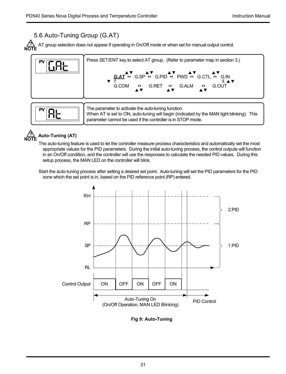# 5.6 Auto-Tuning Group (G.AT)

AT group selection does not appear if operating in On/Off mode or when set for manual output control. **? NOTE**



When AT is set to ON, auto-tuning will begin (indicated by the MAN light blinking). This parameter cannot be used if the controller is in STOP mode.

### **Auto-Tuning (AT) NOTE**

**?**

The auto-tuning feature is used to let the controller measure process characteristics and automatically set the most appropriate values for the PID parameters. During the initial auto-tuning process, the control outputs will function in an On/Off condition, and the controller will use the responses to calculate the needed PID values. During this setup process, the MAN LED on the controller will blink.

Start the auto-tuning process after setting a desired set point. Auto-tuning will set the PID parameters for the PID zone which the set point is in, based on the PID reference point (RP) entered.



**Fig 9: Auto-Tuning**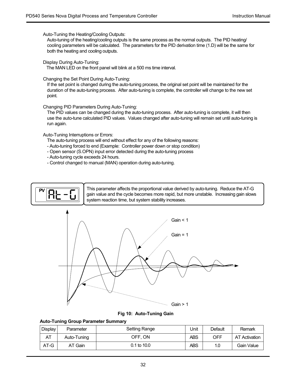Auto-Tuning the Heating/Cooling Outputs:

Auto-tuning of the heating/cooling outputs is the same process as the normal outputs. The PID heating/ cooling parameters will be calculated. The parameters for the PID derivation time (1.D) will be the same for both the heating and cooling outputs.

Display During Auto-Tuning:

The MAN LED on the front panel will blink at a 500 ms time interval.

Changing the Set Point During Auto-Tuning:

If the set point is changed during the auto-tuning process, the original set point will be maintained for the duration of the auto-tuning process. After auto-tuning is complete, the controller will change to the new set point.

Changing PID Parameters During Auto-Tuning:

The PID values can be changed during the auto-tuning process. After auto-tuning is complete, it will then use the auto-tune calculated PID values. Values changed after auto-tuning will remain set until auto-tuning is run again.

Auto-Tuning Interruptions or Errors:

The auto-tuning process will end without effect for any of the following reasons:

- Auto-tuning forced to end (Example: Controller power down or stop condition)
- Open sensor (S.OPN) input error detected during the auto-tuning process
- Auto-tuning cycle exceeds 24 hours.
- Control changed to manual (MAN) operation during auto-tuning.



This parameter affects the proportional value derived by auto-tuning. Reduce the AT-G gain value and the cycle becomes more rapid, but more unstable. Increasing gain slows system reaction time, but system stability increases.



**Fig 10: Auto-Tuning Gain**

### **Auto-Tuning Group Parameter Summary**

| Display | Parameter   | Setting Range | Unit       | Default | Remark               |
|---------|-------------|---------------|------------|---------|----------------------|
| AT      | Auto-Tuning | OFF, ON       | <b>ABS</b> | OFF     | <b>AT Activation</b> |
| $AT-G$  | AT Gain     | 0.1 to 10.0   | <b>ABS</b> | 1.0     | Gain Value           |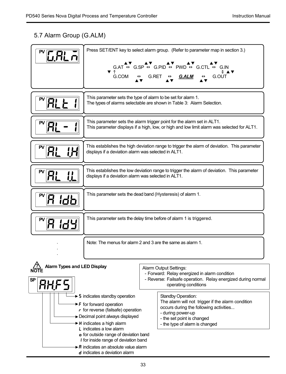# 5.7 Alarm Group (G.ALM)

| 6.AL J                                           | ▼↑<br>G.COM                                                                                                                                                                                                                                                                                                                                                                                                            | Press SET/ENT key to select alarm group. (Refer to parameter map in section 3.)<br>$GAT \leftrightarrow GSP \leftrightarrow G.PID \leftrightarrow PWD \leftrightarrow G.CTL \leftrightarrow G.N$<br>G.RET<br>G.ALM<br>G.OUT<br>$\leftrightarrow$ |  |  |  |  |  |
|--------------------------------------------------|------------------------------------------------------------------------------------------------------------------------------------------------------------------------------------------------------------------------------------------------------------------------------------------------------------------------------------------------------------------------------------------------------------------------|--------------------------------------------------------------------------------------------------------------------------------------------------------------------------------------------------------------------------------------------------|--|--|--|--|--|
| AL L                                             |                                                                                                                                                                                                                                                                                                                                                                                                                        | This parameter sets the type of alarm to be set for alarm 1.<br>The types of alarms selectable are shown in Table 3: Alarm Selection.                                                                                                            |  |  |  |  |  |
|                                                  | This parameter sets the alarm trigger point for the alarm set in ALT1.<br>This parameter displays if a high, low, or high and low limit alarm was selected for ALT1.                                                                                                                                                                                                                                                   |                                                                                                                                                                                                                                                  |  |  |  |  |  |
| RL<br>iН                                         | This establishes the high deviation range to trigger the alarm of deviation. This parameter<br>displays if a deviation alarm was selected in ALT1.                                                                                                                                                                                                                                                                     |                                                                                                                                                                                                                                                  |  |  |  |  |  |
| Ρ٧<br>RL<br><u>!!</u>                            | This establishes the low deviation range to trigger the alarm of deviation. This parameter<br>displays if a deviation alarm was selected in ALT1.                                                                                                                                                                                                                                                                      |                                                                                                                                                                                                                                                  |  |  |  |  |  |
| PV<br>idb                                        | This parameter sets the dead band (Hysteresis) of alarm 1.                                                                                                                                                                                                                                                                                                                                                             |                                                                                                                                                                                                                                                  |  |  |  |  |  |
| Я<br>1dY                                         |                                                                                                                                                                                                                                                                                                                                                                                                                        | This parameter sets the delay time before of alarm 1 is triggered.                                                                                                                                                                               |  |  |  |  |  |
|                                                  |                                                                                                                                                                                                                                                                                                                                                                                                                        | Note: The menus for alarm 2 and 3 are the same as alarm 1.                                                                                                                                                                                       |  |  |  |  |  |
| Alarm Types and LED Display<br>SP<br><b>AHF5</b> |                                                                                                                                                                                                                                                                                                                                                                                                                        | Alarm Output Settings:<br>- Forward: Relay energized in alarm condition<br>- Reverse: Failsafe operation. Relay energized during normal<br>operating conditions                                                                                  |  |  |  |  |  |
|                                                  | $\triangleright$ 5 indicates standby operation<br>$\rightarrow$ F for forward operation<br>$\cdot$ for reverse (failsafe) operation<br>Decimal point always displayed<br>► H indicates a high alarm<br>L indicates a low alarm<br><b>o</b> for outside range of deviation band<br>I for inside range of deviation band<br>$\triangleright$ <b>R</b> indicates an absolute value alarm<br>d indicates a deviation alarm | Standby Operation:<br>The alarm will not trigger if the alarm condition<br>occurs during the following activities<br>- during power-up<br>- the set point is changed<br>- the type of alarm is changed                                           |  |  |  |  |  |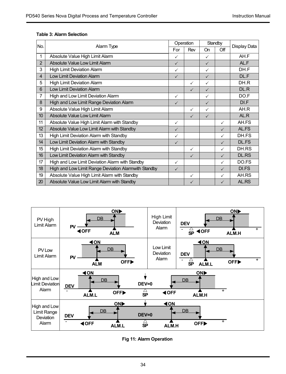### **Table 3: Alarm Selection**

| No.            | Alarm Type                                           |              | Operation    | Standby      |              | Display Data |
|----------------|------------------------------------------------------|--------------|--------------|--------------|--------------|--------------|
|                |                                                      |              | Rev          | On           | Off          |              |
| $\mathbf{1}$   | Absolute Value High Limit Alarm                      |              |              | ✓            |              | AH.F         |
| $\overline{2}$ | Absolute Value Low Limit Alarm                       | $\checkmark$ |              | $\checkmark$ |              | AL.F         |
| 3              | High Limit Deviation Alarm                           | ✓            |              | ✓            |              | DH.F         |
| $\overline{4}$ | Low Limit Deviation Alarm                            | $\checkmark$ |              | $\checkmark$ |              | DL.F         |
| 5              | High Limit Deviation Alarm                           |              | ✓            | ✓            |              | DH.R         |
| 6              | Low Limit Deviation Alarm                            |              | $\checkmark$ | $\checkmark$ |              | DL.R         |
| 7              | High and Low Limit Deviation Alarm                   | ✓            |              | ✓            |              | DO.F         |
| 8              | High and Low Limit Range Deviation Alarm             | $\checkmark$ |              | $\checkmark$ |              | DI.F         |
| 9              | Absolute Value High Limit Alarm                      |              | ✓            | ✓            |              | AH.R         |
| 10             | Absolute Value Low Limit Alarm                       |              | ✓            | $\checkmark$ |              | AL.R         |
| 11             | Absolute Value High Limit Alarm with Standby         | ✓            |              |              | ✓            | AH.FS        |
| 12             | Absolute Value Low Limit Alarm with Standby          | $\checkmark$ |              |              | $\checkmark$ | AL.FS        |
| 13             | High Limit Deviation Alarm with Standby              | ✓            |              |              | ✓            | DH.FS        |
| 14             | Low Limit Deviation Alarm with Standby               | $\checkmark$ |              |              | $\checkmark$ | <b>DL.FS</b> |
| 15             | High Limit Deviation Alarm with Standby              |              | ✓            |              | ✓            | DH.RS        |
| 16             | Low Limit Deviation Alarm with Standby               |              | ✓            |              | $\checkmark$ | <b>DL.RS</b> |
| 17             | High and Low Limit Deviation Alarm with Standby      | ✓            |              |              | ✓            | DO.FS        |
| 18             | High and Low Limit Range Deviation Alarmwith Standby | $\checkmark$ |              |              | $\checkmark$ | DI.FS        |
| 19             | Absolute Value High Limit Alarm with Standby         |              | ✓            |              | $\checkmark$ | AH.RS        |
| 20             | Absolute Value Low Limit Alarm with Standby          |              | $\checkmark$ |              | $\checkmark$ | AL.RS        |



**Fig 11: Alarm Operation**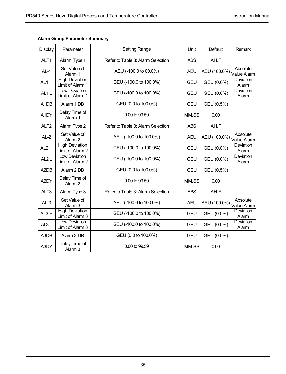| Display                       | Parameter                                 | <b>Setting Range</b>              |            | Default                  | Remark                    |
|-------------------------------|-------------------------------------------|-----------------------------------|------------|--------------------------|---------------------------|
| ALT <sub>1</sub>              | Alarm Type 1                              | Refer to Table 3: Alarm Selection | <b>ABS</b> | AH.F                     |                           |
| $AL-1$                        | Set Value of<br>Alarm 1                   | AEU (-100.0 to 00.0%)             | <b>AEU</b> | AEU (100.0%) Value Alarm | Absolute                  |
| AL <sub>1.H</sub>             | <b>High Deviation</b><br>Limit of Alarm 1 | GEU (-100.0 to 100.0%)            | <b>GEU</b> | GEU (0.0%)               | Deviation<br>Alarm        |
| AL <sub>1</sub> .L            | Low Deviation<br>Limit of Alarm 1         | GEU (-100.0 to 100.0%)            | <b>GEU</b> | GEU (0.0%)               | Deviation<br>Alarm        |
| A <sub>1</sub> D <sub>B</sub> | Alarm 1 DB                                | GEU (0.0 to 100.0%)               | <b>GEU</b> | GEU (0.5%)               |                           |
| A1DY                          | Delay Time of<br>Alarm 1                  | 0.00 to 99.59                     | MM.SS      | 0.00                     |                           |
| ALT <sub>2</sub>              | Alarm Type 2                              | Refer to Table 3: Alarm Selection | <b>ABS</b> | AH.F                     |                           |
| $AL-2$                        | Set Value of<br>Alarm <sub>2</sub>        | AEU (-100.0 to 100.0%)            | <b>AEU</b> | AEU (100.0%) Value Alarm | Absolute                  |
| AL <sub>2.H</sub>             | <b>High Deviation</b><br>Limit of Alarm 2 | GEU (-100.0 to 100.0%)            | GEU        | GEU (0.0%)               | <b>Deviation</b><br>Alarm |
| AL <sub>2.</sub> L            | Low Deviation<br>Limit of Alarm 2         | GEU (-100.0 to 100.0%)            | GEU        | GEU (0.0%)               | Deviation<br>Alarm        |
| A <sub>2</sub> D <sub>B</sub> | Alarm 2 DB                                | GEU (0.0 to 100.0%)               | <b>GEU</b> | GEU (0.5%)               |                           |
| A2DY                          | Delay Time of<br>Alarm <sub>2</sub>       | 0.00 to 99.59                     | MM.SS      | 0.00                     |                           |
| ALT <sub>3</sub>              | Alarm Type 3                              | Refer to Table 3: Alarm Selection | <b>ABS</b> | AH.F                     |                           |
| $AL-3$                        | Set Value of<br>Alarm <sub>3</sub>        | AEU (-100.0 to 100.0%)            | <b>AEU</b> | AEU (100.0%) Value Alarm |                           |
| AL3.H                         | <b>High Deviation</b><br>Limit of Alarm 3 | GEU (-100.0 to 100.0%)            | GEU        | GEU (0.0%)               | Deviation<br>Alarm        |
| AL3.L                         | Low Deviation<br>Limit of Alarm 3         | GEU (-100.0 to 100.0%)            | GEU        | GEU (0.0%)               | Deviation<br>Alarm        |
| A3DB                          | Alarm 3 DB                                | GEU (0.0 to 100.0%)               | <b>GEU</b> | GEU (0.5%)               |                           |
| A3DY                          | Delay Time of<br>Alarm <sub>3</sub>       | 0.00 to 99.59                     | MM.SS      | 0.00                     |                           |

### **Alarm Group Parameter Summary**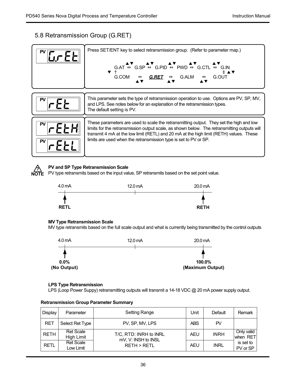# 5.8 Retransmission Group (G.RET)

|          | Press SET/ENT key to select retransmission group. (Refer to parameter map.)<br>$G.AT \overset{\text{AV}}{\leftrightarrow} G.SP \overset{\text{AV}}{\leftrightarrow} G.PID \overset{\text{AV}}{\leftrightarrow} PWD \overset{\text{AV}}{\leftrightarrow} G.CTL \overset{\text{AV}}{\leftrightarrow} G.N$<br>$\overline{\mathbf{v}}$ $\uparrow$<br>G.COM $\leftrightarrow$ G.RET $\leftrightarrow$ G.ALM $\leftrightarrow$ G.OUT |
|----------|--------------------------------------------------------------------------------------------------------------------------------------------------------------------------------------------------------------------------------------------------------------------------------------------------------------------------------------------------------------------------------------------------------------------------------|
| PV       | This parameter sets the type of retransmission operation to use. Options are PV, SP, MV,<br>and LPS. See notes below for an explanation of the retransmission types.<br>The default setting is PV.                                                                                                                                                                                                                             |
| PV<br>P٧ | These parameters are used to scale the retransmitting output. They set the high and low<br>limits for the retransmission output scale, as shown below. The retransmitting outputs will<br>transmit 4 mA at the low limit (RETL) and 20 mA at the high limit (RETH) values. These<br>limits are used when the retransmission type is set to PV or SP.                                                                           |



### **PV and SP Type Retransmission Scale**

PV type retransmits based on the input value, SP retransmits based on the set point value.



### **MV Type Retransmission Scale**

MV type retransmits based on the full scale output and what is currently being transmitted by the control outputs



### **LPS Type Retransmission**

LPS (Loop Power Suppy) retransmitting outputs will transmit a 14-18 VDC @ 20 mA power supply output.

| Display     | Parameter                      | Setting Range                                 | Unit       | Default     | Remark                 |
|-------------|--------------------------------|-----------------------------------------------|------------|-------------|------------------------|
| <b>RET</b>  | Select Ret Type                | PV. SP. MV. LPS                               | <b>ABS</b> | PV          |                        |
| <b>RETH</b> | <b>Ret Scale</b><br>High Limit | T/C. RTD: INRH to INRL<br>mV. V: INSH to INSL | <b>AEU</b> | <b>INRH</b> | Only valid<br>when RET |
| <b>RETL</b> | <b>Ret Scale</b><br>Low Limit  | <b>RETH &gt; RETL</b>                         | AEU        | <b>INRL</b> | is set to<br>PV or SP  |

### **Retransmission Group Parameter Summary**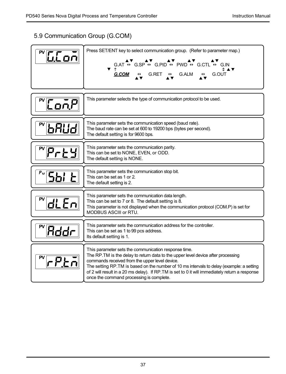# 5.9 Communication Group (G.COM)

| $\sqrt[m]{\text{LL}}$ on          | Press SET/ENT key to select communication group. (Refer to parameter map.)<br>G.AT $\leftrightarrow$ G.SP $\leftrightarrow$ G.PID $\leftrightarrow$ PWD $\leftrightarrow$ G.CTL $\leftrightarrow$ G.IN<br>▼↑<br><b>G.COM</b> $\leftrightarrow$ G.RET $\leftrightarrow$ G.ALM $\leftrightarrow$ G.OUT                                                                                                                                   |
|-----------------------------------|----------------------------------------------------------------------------------------------------------------------------------------------------------------------------------------------------------------------------------------------------------------------------------------------------------------------------------------------------------------------------------------------------------------------------------------|
| $\sqrt[\infty]{\text{Lon}}P$      | This parameter selects the type of communication protocol to be used.                                                                                                                                                                                                                                                                                                                                                                  |
| bAUd                              | This parameter sets the communication speed (baud rate).<br>The baud rate can be set at 600 to 19200 bps (bytes per second).<br>The default setting is for 9600 bps.                                                                                                                                                                                                                                                                   |
| <u> ₩₽−⊧₩</u>                     | This parameter sets the communication parity.<br>This can be set to NONE, EVEN, or ODD.<br>The default setting is NONE.                                                                                                                                                                                                                                                                                                                |
| <u>" Sbi t</u>                    | This parameter sets the communication stop bit.<br>This can be set as 1 or 2.<br>The default setting is 2.                                                                                                                                                                                                                                                                                                                             |
| $d$ L $En$                        | This parameter sets the communication data length.<br>This can be set to 7 or 8. The default setting is 8.<br>This parameter is not displayed when the communication protocol (COM.P) is set for<br>MODBUS ASCIII or RTU.                                                                                                                                                                                                              |
| <u> Rddr</u>                      | This parameter sets the communication address for the controller.<br>This can be set as 1 to 99 pcs address.<br>Its default setting is 1.                                                                                                                                                                                                                                                                                              |
| $\mathsf{rPE}$ $\bar{\mathsf{r}}$ | This parameter sets the communication response time.<br>The RP. TM is the delay to return data to the upper level device after processing<br>commands received from the upper level device.<br>The setting RP.TM is based on the number of 10 ms intervals to delay (example: a setting<br>of 2 will result in a 20 ms delay). If RP. TM is set to 0 it will immediately return a response<br>once the command processing is complete. |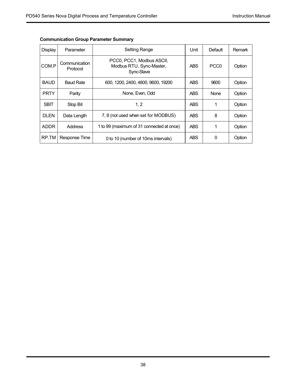| Display     | Parameter                 | <b>Setting Range</b>                                                | Unit       | Default          | Remark |
|-------------|---------------------------|---------------------------------------------------------------------|------------|------------------|--------|
| COM.P       | Communication<br>Protocol | PCC0, PCC1, Modbus ASCII,<br>Modbus RTU, Sync-Master,<br>Sync-Slave | <b>ABS</b> | PCC <sub>0</sub> | Option |
| <b>BAUD</b> | <b>Baud Rate</b>          | 600, 1200, 2400, 4800, 9600, 19200                                  | <b>ABS</b> | 9600             | Option |
| <b>PRTY</b> | Parity                    | None, Even, Odd                                                     | <b>ABS</b> | <b>None</b>      | Option |
| <b>SBIT</b> | Stop Bit                  | 1, 2                                                                | <b>ABS</b> | 1                | Option |
| <b>DLEN</b> | Data Length               | 7, 8 (not used when set for MODBUS)                                 | <b>ABS</b> | 8                | Option |
| <b>ADDR</b> | <b>Address</b>            | 1 to 99 (maximum of 31 connected at once)                           | <b>ABS</b> | 1                | Option |
| RP.TM       | Response Time             | 0 to 10 (number of 10ms intervals)                                  | <b>ABS</b> | $\Omega$         | Option |

### **Communication Group Parameter Summary**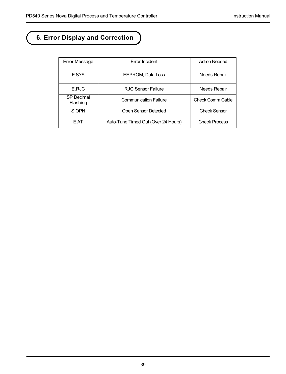# **6. Error Display and Correction**

| Error Message          | Error Incident                      | <b>Action Needed</b> |
|------------------------|-------------------------------------|----------------------|
| <b>E.SYS</b>           | EEPROM. Data Loss                   | <b>Needs Repair</b>  |
| E.R.IC                 | RJC Sensor Failure                  | <b>Needs Repair</b>  |
| SP Decimal<br>Flashing | <b>Communication Failure</b>        | Check Comm Cable     |
| S.OPN                  | Open Sensor Detected                | Check Sensor         |
| E.AT                   | Auto-Tune Timed Out (Over 24 Hours) | <b>Check Process</b> |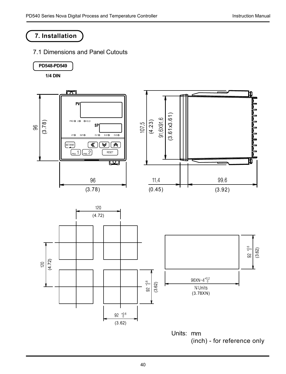# **7. Installation**

### 7.1 Dimensions and Panel Cutouts



**1/4 DIN**

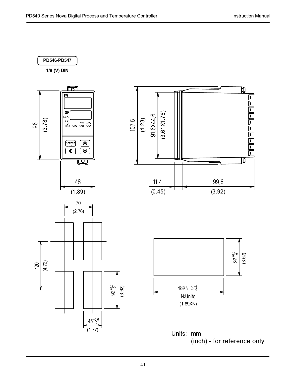

**1/8 (V) DIN**

![](_page_40_Figure_4.jpeg)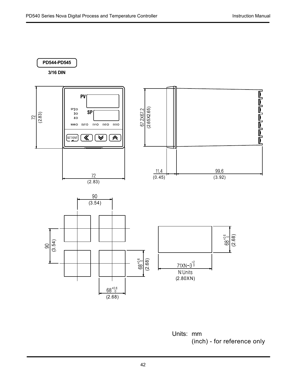# **PD544-PD545**

**3/16 DIN**

![](_page_41_Figure_4.jpeg)

![](_page_41_Figure_5.jpeg)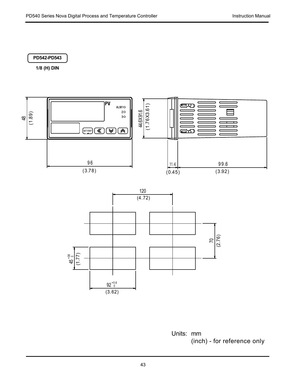### **PD542-PD543**

**1/8 (H) DIN**

![](_page_42_Figure_4.jpeg)

![](_page_42_Figure_5.jpeg)

 $92\substack{+0.6 \ 0}$ 

(3.62)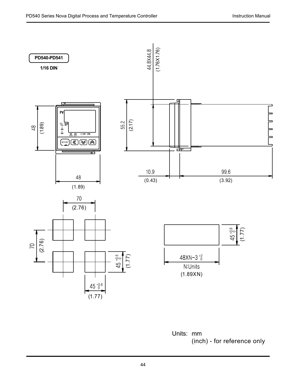![](_page_43_Figure_2.jpeg)

Units: mm (inch) - for reference only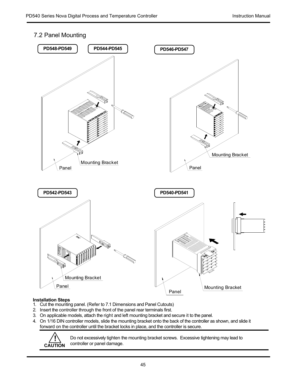### 7.2 Panel Mounting

![](_page_44_Figure_3.jpeg)

### **Installation Steps**

- 1. Cut the mounting panel. (Refer to 7.1 Dimensions and Panel Cutouts)
- 2. Insert the controller through the front of the panel rear terminals first.
- 3. On applicable models, attach the right and left mounting bracket and secure it to the panel.
- 4. On 1/16 DIN controller models, slide the mounting bracket onto the back of the controller as shown, and slide it forward on the controller until the bracket locks in place, and the controller is secure.

![](_page_44_Picture_9.jpeg)

Do not excessively tighten the mounting bracket screws. Excessive tightening may lead to controller or panel damage.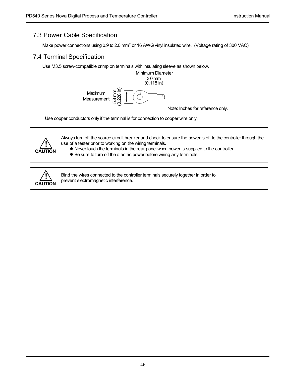### 7.3 Power Cable Specification

Make power connections using 0.9 to 2.0 mm<sup>2</sup> or 16 AWG vinyl insulated wire. (Voltage rating of 300 VAC)

### 7.4 Terminal Specification

Use M3.5 screw-compatible crimp on terminals with insulating sleeve as shown below.

![](_page_45_Figure_6.jpeg)

Use copper conductors only if the terminal is for connection to copper wire only.

![](_page_45_Picture_8.jpeg)

Always turn off the source circuit breaker and check to ensure the power is off to the controller through the use of a tester prior to working on the wiring terminals.

- Never touch the terminals in the rear panel when power is supplied to the controller.
- Be sure to turn off the electric power before wiring any terminals.

![](_page_45_Picture_12.jpeg)

Bind the wires connected to the controller terminals securely together in order to prevent electromagnetic interference.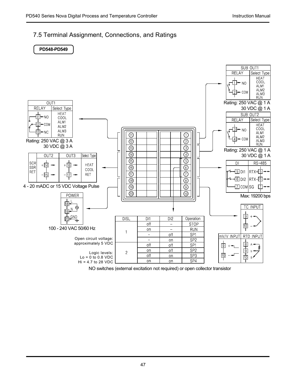# 7.5 Terminal Assignment, Connections, and Ratings

![](_page_46_Figure_3.jpeg)

NO switches (external excitation not required) or open collector transistor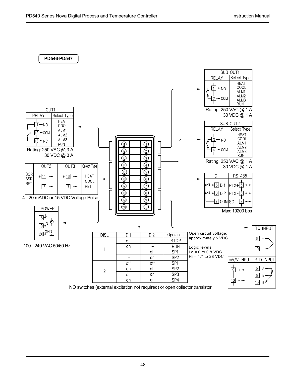![](_page_47_Figure_2.jpeg)

NO switches (external excitation not required) or open collector transistor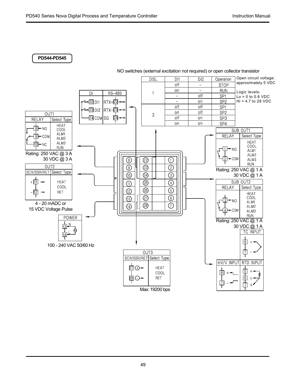**PD544-PD545**

![](_page_48_Figure_3.jpeg)

![](_page_48_Figure_4.jpeg)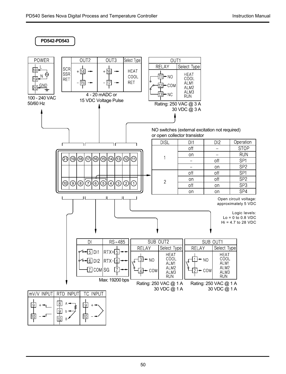![](_page_49_Figure_2.jpeg)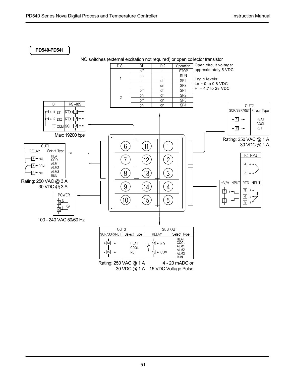**PD540-PD541**

![](_page_50_Figure_3.jpeg)

![](_page_50_Figure_4.jpeg)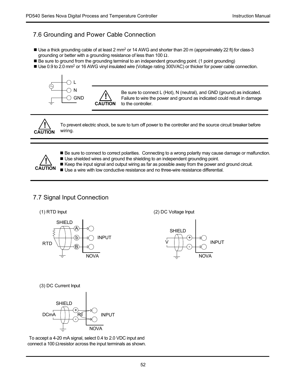# 7.6 Grounding and Power Cable Connection

**!**

- Use a thick grounding cable of at least 2 mm<sup>2</sup> or 14 AWG and shorter than 20 m (approximately 22 ft) for class-3 grounding or better with a grounding resistance of less than 100  $\Omega$ .
- Be sure to ground from the grounding terminal to an independent grounding point. (1 point grounding)
- Use 0.9 to 2.0 mm<sup>2</sup> or 16 AWG vinyl insulated wire (Voltage rating 300VAC) or thicker for power cable connection.

![](_page_51_Figure_6.jpeg)

Be sure to connect L (Hot), N (neutral), and GND (ground) as indicated. Failure to wire the power and ground as indicated could result in damage to the controller. **CAUTION**

![](_page_51_Picture_8.jpeg)

To prevent electric shock, be sure to turn off power to the controller and the source circuit breaker before wiring.

![](_page_51_Picture_10.jpeg)

- Be sure to connect to correct polarities. Connecting to a wrong polarity may cause damage or malfunction.
- Use shielded wires and ground the shielding to an independent grounding point.
- Keep the input signal and output wiring as far as possible away from the power and ground circuit.
- Use a wire with low conductive resistance and no three-wire resistance differential.

### 7.7 Signal Input Connection

![](_page_51_Figure_17.jpeg)

(1) RTD Input (2) DC Voltage Input

![](_page_51_Figure_19.jpeg)

(3) DC Current Input

![](_page_51_Figure_21.jpeg)

To accept a 4-20 mA signal, select 0.4 to 2.0 VDC input and connect a 100 Ω resistor across the input terminals as shown.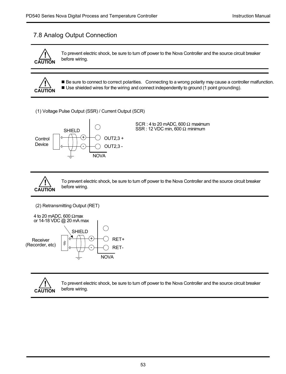### 7.8 Analog Output Connection

![](_page_52_Picture_3.jpeg)

To prevent electric shock, be sure to turn off power to the Nova Controller and the source circuit breaker before wiring.

![](_page_52_Picture_5.jpeg)

Be sure to connect to correct polarities. Connecting to a wrong polarity may cause a controller malfunction. ■ Use shielded wires for the wiring and connect independently to ground (1 point grounding).

(1) Voltage Pulse Output (SSR) / Current Output (SCR)

![](_page_52_Figure_8.jpeg)

SCR : 4 to 20 mADC, 600  $\Omega$  maximum  $SSR: 12 VDC min. 600  $\Omega$  minimum$ 

![](_page_52_Picture_10.jpeg)

To prevent electric shock, be sure to turn off power to the Nova Controller and the source circuit breaker before wiring.

```
(2) Retransmitting Output (RET)
```
![](_page_52_Figure_13.jpeg)

![](_page_52_Picture_14.jpeg)

To prevent electric shock, be sure to turn off power to the Nova Controller and the source circuit breaker before wiring.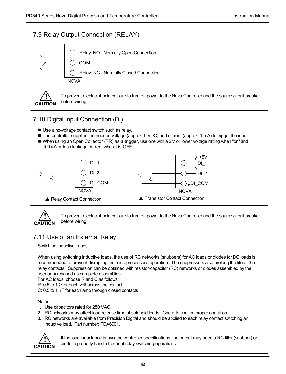### 7.9 Relay Output Connection (RELAY)

![](_page_53_Figure_3.jpeg)

![](_page_53_Picture_4.jpeg)

To prevent electric shock, be sure to turn off power to the Nova Controller and the source circuit breaker before wiring.

### 7.10 Digital Input Connection (DI)

- Use a no-voltage contact switch such as relay.
- The controller supplies the needed voltage (approx. 5 VDC) and current (approx. 1 mA) to trigger the input.
- When using an Open Collector (TR) as a trigger, use one with a 2 V or lower voltage rating when "on" and 100 μA or less leakage current when it is OFF.

![](_page_53_Figure_10.jpeg)

![](_page_53_Picture_11.jpeg)

To prevent electric shock, be sure to turn off power to the Nova Controller and the source circuit breaker before wiring.

# 7.11 Use of an External Relay

Switching Inductive Loads

When using switching inductive loads, the use of RC networks (snubbers) for AC loads or diodes for DC loads is recommended to prevent disrupting the microprocessor's operation. The suppressors also prolong the life of the relay contacts. Suppression can be obtained with resistor-capacitor (RC) networks or diodes assembled by the user or purchased as complete assemblies.

For AC loads, choose R and C as follows:

R: 0.5 to 1  $\Omega$  for each volt across the contact

C: 0.5 to 1 μF for each amp through closed contacts

### Notes:

- 1. Use capacitors rated for 250 VAC.
- 2. RC networks may affect load release time of solenoid loads. Check to confirm proper operation.
- 3. RC networks are available from Precision Digital and should be applied to each relay contact switching an inductive load. Part number: PDX6901.

![](_page_53_Picture_23.jpeg)

If the load inductance is over the controller specifications, the output may need a RC filter (snubber) or diode to properly handle frequent relay switching operations.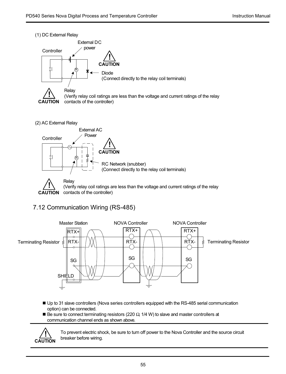(1) DC External Relay

![](_page_54_Figure_3.jpeg)

(2) AC External Relay

![](_page_54_Figure_5.jpeg)

# 7.12 Communication Wiring (RS-485)

![](_page_54_Figure_7.jpeg)

- Up to 31 slave controllers (Nova series controllers equipped with the RS-485 serial communication option) can be connected.
- $\blacksquare$  Be sure to connect terminating resistors (220  $\Omega$  1/4 W) to slave and master controllers at communication channel ends as shown above.

![](_page_54_Picture_10.jpeg)

To prevent electric shock, be sure to turn off power to the Nova Controller and the source circuit breaker before wiring.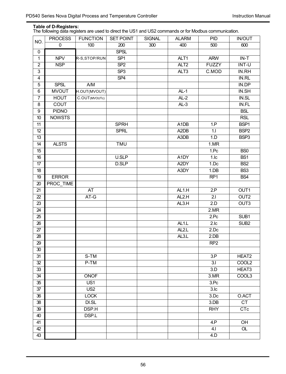**Table of D-Registers:** The following data registers are used to direct the US1 and US2 commands or for Modbus communication.

| NO.             | <b>PROCESS</b>   | <b>FUNCTION</b>  | <b>SET POINT</b>        | <b>SIGNAL</b> | <b>ALARM</b>                  | PID              | <b>IN/OUT</b>       |
|-----------------|------------------|------------------|-------------------------|---------------|-------------------------------|------------------|---------------------|
|                 | 0                | 100              | 200                     | 300           | 400                           | 500              | 600                 |
| 0               |                  |                  | <b>SPSL</b>             |               |                               |                  |                     |
| $\overline{1}$  | <b>NPV</b>       | R-S, STOP/RUN    | $\overline{\text{SP1}}$ |               | ALT1                          | <b>ARW</b>       | $IN-T$              |
| $\overline{2}$  | <b>NSP</b>       |                  | SP <sub>2</sub>         |               | ALT <sub>2</sub>              | <b>FUZZY</b>     | INT-U               |
| 3               |                  |                  | SP <sub>3</sub>         |               | $\overline{ALT}3$             | C.MOD            | IN.RH               |
| $\overline{4}$  |                  |                  | SP4                     |               |                               |                  | IN.RL               |
| 5               | <b>SPSL</b>      | A/M              |                         |               |                               |                  | IN.DP               |
| 6               | <b>MVOUT</b>     | H.OUT(MVOUT)     |                         |               | $AL-1$                        |                  | IN.SH               |
| $\overline{7}$  | <b>HOUT</b>      | C.OUT(MVOUTc)    |                         |               | $AL-2$                        |                  | <b>IN.SL</b>        |
| 8               | COUT             |                  |                         |               | $AL-3$                        |                  | IN.FL               |
| 9               | <b>PIDNO</b>     |                  |                         |               |                               |                  | <b>BSL</b>          |
| 10              | <b>NOWSTS</b>    |                  |                         |               |                               |                  | RSL                 |
| 11              |                  |                  | <b>SPRH</b>             |               | A1DB                          | 1.P              | BSP <sub>1</sub>    |
| 12              |                  |                  | <b>SPRL</b>             |               | A <sub>2</sub> D <sub>B</sub> | 1.1              | BSP <sub>2</sub>    |
| $\overline{13}$ |                  |                  |                         |               | A3DB                          | 1.D              | BSP <sub>3</sub>    |
| 14              | <b>ALSTS</b>     |                  | <b>TMU</b>              |               |                               | 1.MR             |                     |
| 15              |                  |                  |                         |               |                               | 1.Pc             | B <sub>S0</sub>     |
| 16              |                  |                  | U.SLP                   |               | A1DY                          | 1 <sub>1</sub>   | $\overline{BS1}$    |
| 17              |                  |                  | <b>D.SLP</b>            |               | A <sub>2</sub> DY             | $1$ .Dc          | B <sub>S2</sub>     |
| 18              |                  |                  |                         |               | A3DY                          | 1.DB             | BS <sub>3</sub>     |
| 19              | <b>ERROR</b>     |                  |                         |               |                               | RP <sub>1</sub>  | BS <sub>4</sub>     |
| 20              | <b>PROC TIME</b> |                  |                         |               |                               |                  |                     |
| 21              |                  | AT               |                         |               | AL <sub>1.H</sub>             | 2P               | OUT1                |
| 22              |                  | AT-G             |                         |               | AL2.H                         | 2.1              | OUT <sub>2</sub>    |
| 23              |                  |                  |                         |               | AL3.H                         | 2.D              | OUT <sub>3</sub>    |
| 24              |                  |                  |                         |               |                               | 2.MR             |                     |
| 25              |                  |                  |                         |               |                               | 2.Pc             | SUB <sub>1</sub>    |
| 26              |                  |                  |                         |               | AL <sub>1</sub> .L            | 2.1c             | SUB <sub>2</sub>    |
| 27              |                  |                  |                         |               | AL <sub>2</sub> L             | 2.0c             |                     |
| 28              |                  |                  |                         |               | AL3.L                         | $2$ .DB          |                     |
| $\overline{29}$ |                  |                  |                         |               |                               | RP2              |                     |
| 30              |                  |                  |                         |               |                               |                  |                     |
| 31              |                  | S-TM             |                         |               |                               | 3.P              | HEAT2               |
| $\overline{32}$ |                  | $P-TM$           |                         |               |                               | $\overline{3.1}$ | COOL <sub>2</sub>   |
| 33              |                  |                  |                         |               |                               | $\overline{3.D}$ | HEAT3               |
| 34              |                  | <b>ONOF</b>      |                         |               |                               | 3.MR             | COOL3               |
| 35              |                  | $\overline{US1}$ |                         |               |                               | 3.Pc             |                     |
| 37              |                  | $\overline{US2}$ |                         |               |                               | 3.1 <sub>c</sub> |                     |
| 36              |                  | <b>LOCK</b>      |                         |               |                               | 3.Dc             | O.ACT               |
| 38              |                  | DI.SL            |                         |               |                               | 3.DB             | <b>CT</b>           |
| 39              |                  | <b>DSP.H</b>     |                         |               |                               | <b>RHY</b>       | CTc                 |
| 40              |                  | DSP.L            |                         |               |                               |                  |                     |
| 41              |                  |                  |                         |               |                               | 4.P              | OH                  |
| $\overline{42}$ |                  |                  |                         |               |                               | 4.1              | $\overline{\alpha}$ |
| 43              |                  |                  |                         |               |                               | 4.D              |                     |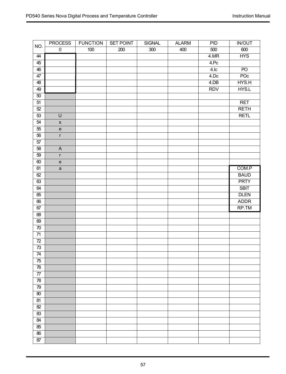| NO.             | <b>PROCESS</b>                    | <b>FUNCTION</b> | <b>SET POINT</b> | <b>SIGNAL</b> | <b>ALARM</b> | PID              | <b>IN/OUT</b>   |
|-----------------|-----------------------------------|-----------------|------------------|---------------|--------------|------------------|-----------------|
|                 | $\overline{0}$                    | 100             | 200              | 300           | 400          | 500              | 600             |
| 44              |                                   |                 |                  |               |              | 4.MR             | <b>HYS</b>      |
| $\overline{45}$ |                                   |                 |                  |               |              | 4.Pc             |                 |
| 46              |                                   |                 |                  |               |              | 4.1 <sub>c</sub> | $\overline{PQ}$ |
| 47              |                                   |                 |                  |               |              | 4.Dc             | POc             |
| 48              |                                   |                 |                  |               |              | 4.DB             | HYS.H           |
| 49              |                                   |                 |                  |               |              | <b>RDV</b>       | HYS.L           |
| 50              |                                   |                 |                  |               |              |                  |                 |
| $\overline{51}$ |                                   |                 |                  |               |              |                  | <b>RET</b>      |
| 52              |                                   |                 |                  |               |              |                  | <b>RETH</b>     |
| $\overline{53}$ | $\overline{U}$                    |                 |                  |               |              |                  | <b>RETL</b>     |
| 54              | $\mathsf{s}$                      |                 |                  |               |              |                  |                 |
| $\overline{55}$ | $\mathsf{e}\,$                    |                 |                  |               |              |                  |                 |
| 56              | r                                 |                 |                  |               |              |                  |                 |
| 57              |                                   |                 |                  |               |              |                  |                 |
| $\overline{58}$ | $\overline{A}$                    |                 |                  |               |              |                  |                 |
| $\overline{59}$ | r                                 |                 |                  |               |              |                  |                 |
| 60              | $\mathsf{e}% _{t}\left( t\right)$ |                 |                  |               |              |                  |                 |
| 61              | $\mathsf{a}$                      |                 |                  |               |              |                  | COM.P           |
| 62              |                                   |                 |                  |               |              |                  | <b>BAUD</b>     |
| 63              |                                   |                 |                  |               |              |                  | <b>PRTY</b>     |
| $\overline{64}$ |                                   |                 |                  |               |              |                  | <b>SBIT</b>     |
| $\overline{65}$ |                                   |                 |                  |               |              |                  | <b>DLEN</b>     |
| 66              |                                   |                 |                  |               |              |                  | <b>ADDR</b>     |
| 67              |                                   |                 |                  |               |              |                  | RP.TM           |
| 68              |                                   |                 |                  |               |              |                  |                 |
| 69              |                                   |                 |                  |               |              |                  |                 |
| 70              |                                   |                 |                  |               |              |                  |                 |
| $\overline{71}$ |                                   |                 |                  |               |              |                  |                 |
| $\overline{72}$ |                                   |                 |                  |               |              |                  |                 |
| 73              |                                   |                 |                  |               |              |                  |                 |
| 74              |                                   |                 |                  |               |              |                  |                 |
| $\overline{75}$ |                                   |                 |                  |               |              |                  |                 |
| 76              |                                   |                 |                  |               |              |                  |                 |
|                 |                                   |                 |                  |               |              |                  |                 |
| $\overline{78}$ |                                   |                 |                  |               |              |                  |                 |
| 79              |                                   |                 |                  |               |              |                  |                 |
| 80              |                                   |                 |                  |               |              |                  |                 |
| $\overline{81}$ |                                   |                 |                  |               |              |                  |                 |
| 82              |                                   |                 |                  |               |              |                  |                 |
| 83              |                                   |                 |                  |               |              |                  |                 |
| $\overline{84}$ |                                   |                 |                  |               |              |                  |                 |
| 85              |                                   |                 |                  |               |              |                  |                 |
| 86              |                                   |                 |                  |               |              |                  |                 |
| $\overline{87}$ |                                   |                 |                  |               |              |                  |                 |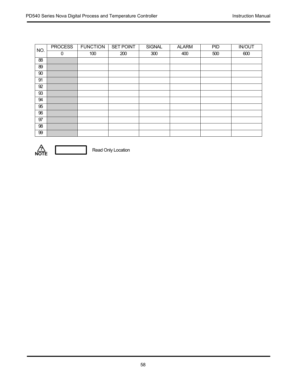| NO. | <b>PROCESS</b> | <b>FUNCTION</b> | <b>SET POINT</b> | <b>SIGNAL</b> | <b>ALARM</b> | PID | <b>IN/OUT</b> |
|-----|----------------|-----------------|------------------|---------------|--------------|-----|---------------|
|     | 0              | 100             | 200              | 300           | 400          | 500 | 600           |
| 88  |                |                 |                  |               |              |     |               |
| 89  |                |                 |                  |               |              |     |               |
| 90  |                |                 |                  |               |              |     |               |
| 91  |                |                 |                  |               |              |     |               |
| 92  |                |                 |                  |               |              |     |               |
| 93  |                |                 |                  |               |              |     |               |
| 94  |                |                 |                  |               |              |     |               |
| 95  |                |                 |                  |               |              |     |               |
| 96  |                |                 |                  |               |              |     |               |
| 97  |                |                 |                  |               |              |     |               |
| 98  |                |                 |                  |               |              |     |               |
| 99  |                |                 |                  |               |              |     |               |

![](_page_57_Picture_3.jpeg)

**P**<br>**NOTE** Read Only Location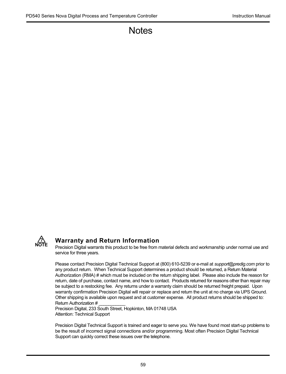# **Notes**

![](_page_58_Picture_3.jpeg)

# **Warranty and Return Information**

Precision Digital warrants this product to be free from material defects and workmanship under normal use and service for three years.

Please contact Precision Digital Technical Support at (800) 610-5239 or e-mail at *support@predig.com* prior to any product return. When Technical Support determines a product should be returned, a Return Material Authorization (RMA) # which must be included on the return shipping label. Please also include the reason for return, date of purchase, contact name, and how to contact. Products returned for reasons other than repair may be subject to a restocking fee. Any returns under a warranty claim should be returned freight prepaid. Upon warranty confirmation Precision Digital will repair or replace and return the unit at no charge via UPS Ground. Other shipping is available upon request and at customer expense. All product returns should be shipped to: Return Authorization # \_\_\_\_\_\_\_\_\_\_\_

Precision Digital, 233 South Street, Hopkinton, MA 01748 USA Attention: Technical Support

Precision Digital Technical Support is trained and eager to serve you. We have found most start-up problems to be the result of incorrect signal connections and/or programming. Most often Precision Digital Technical Support can quickly correct these issues over the telephone.